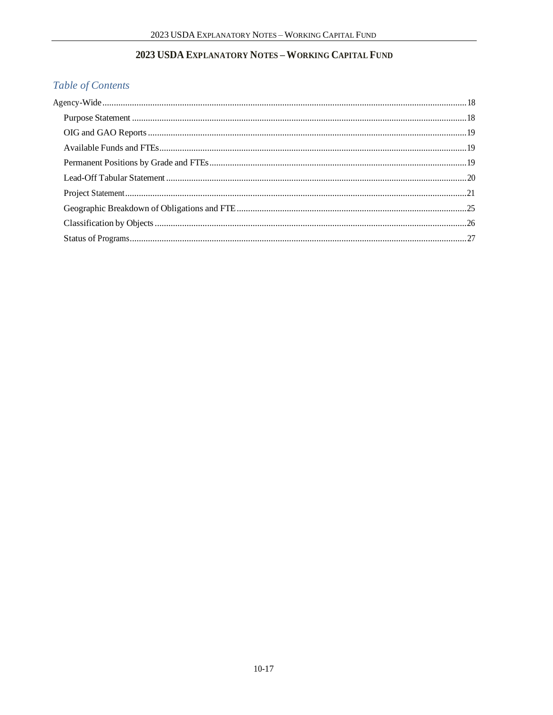# 2023 USDA EXPLANATORY NOTES - WORKING CAPITAL FUND

# Table of Contents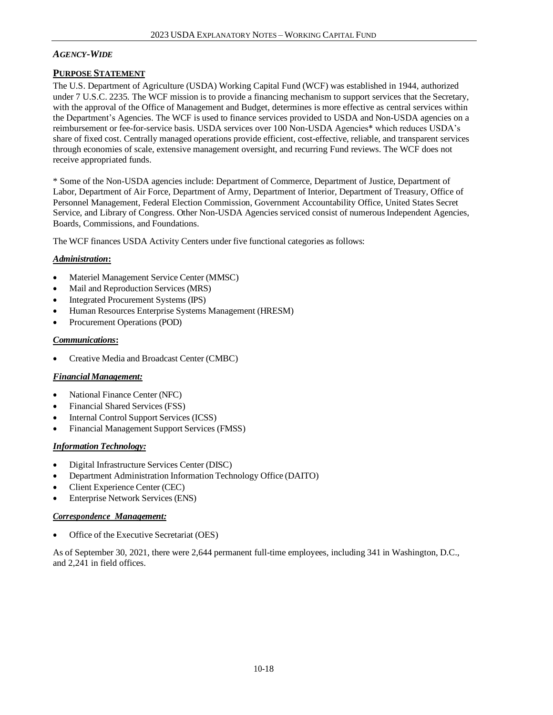# *AGENCY-WIDE*

# **PURPOSE STATEMENT**

The U.S. Department of Agriculture (USDA) Working Capital Fund (WCF) was established in 1944, authorized under 7 U.S.C. 2235*.* The WCF mission is to provide a financing mechanism to support services that the Secretary, with the approval of the Office of Management and Budget, determines is more effective as central services within the Department's Agencies. The WCF is used to finance services provided to USDA and Non-USDA agencies on a reimbursement or fee-for-service basis. USDA services over 100 Non-USDA Agencies\* which reduces USDA's share of fixed cost. Centrally managed operations provide efficient, cost-effective, reliable, and transparent services through economies of scale, extensive management oversight, and recurring Fund reviews. The WCF does not receive appropriated funds.

\* Some of the Non-USDA agencies include: Department of Commerce, Department of Justice, Department of Labor, Department of Air Force, Department of Army, Department of Interior, Department of Treasury, Office of Personnel Management, Federal Election Commission, Government Accountability Office, United States Secret Service, and Library of Congress. Other Non-USDA Agencies serviced consist of numerous Independent Agencies, Boards, Commissions, and Foundations.

The WCF finances USDA Activity Centers under five functional categories as follows:

# *Administration***:**

- Materiel Management Service Center (MMSC)
- Mail and Reproduction Services (MRS)
- Integrated Procurement Systems (IPS)
- Human Resources Enterprise Systems Management (HRESM)
- Procurement Operations (POD)

## *Communications***:**

• Creative Media and Broadcast Center (CMBC)

#### *Financial Management:*

- National Finance Center (NFC)
- Financial Shared Services (FSS)
- Internal Control Support Services (ICSS)
- Financial Management Support Services (FMSS)

### *Information Technology:*

- Digital Infrastructure Services Center (DISC)
- Department Administration Information Technology Office (DAITO)
- Client Experience Center (CEC)
- Enterprise Network Services (ENS)

#### *Correspondence Management:*

• Office of the Executive Secretariat (OES)

As of September 30, 2021, there were 2,644 permanent full-time employees, including 341 in Washington, D.C., and 2,241 in field offices.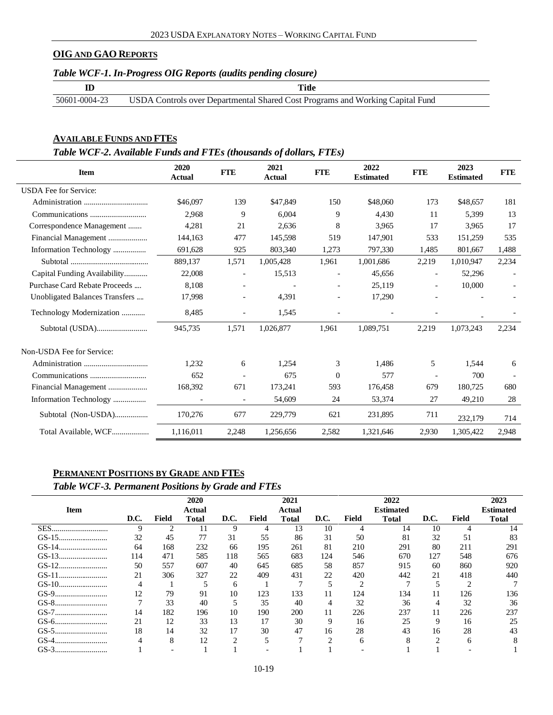## **OIG AND GAO REPORTS**

## *Table WCF-1. In-Progress OIG Reports (audits pending closure)*

|               | Title                                                                         |
|---------------|-------------------------------------------------------------------------------|
| 50601-0004-23 | USDA Controls over Departmental Shared Cost Programs and Working Capital Fund |

### **AVAILABLE FUNDS AND FTES**

# *Table WCF-2. Available Funds and FTEs (thousands of dollars, FTEs)*

| <b>Item</b>                    | 2020<br><b>Actual</b>    | <b>FTE</b> | 2021<br><b>Actual</b> | <b>FTE</b> | 2022<br><b>Estimated</b> | <b>FTE</b>               | 2023<br><b>Estimated</b> | <b>FTE</b> |
|--------------------------------|--------------------------|------------|-----------------------|------------|--------------------------|--------------------------|--------------------------|------------|
| <b>USDA</b> Fee for Service:   |                          |            |                       |            |                          |                          |                          |            |
|                                | \$46,097                 | 139        | \$47,849              | 150        | \$48,060                 | 173                      | \$48,657                 | 181        |
|                                | 2,968                    | 9          | 6.004                 | 9          | 4.430                    | 11                       | 5,399                    | 13         |
| Correspondence Management      | 4,281                    | 21         | 2,636                 | 8          | 3,965                    | 17                       | 3.965                    | 17         |
|                                | 144,163                  | 477        | 145,598               | 519        | 147,901                  | 533                      | 151,259                  | 535        |
| Information Technology         | 691,628                  | 925        | 803,340               | 1,273      | 797,330                  | 1,485                    | 801,667                  | 1,488      |
|                                | 889,137                  | 1,571      | 1,005,428             | 1,961      | 1,001,686                | 2,219                    | 1,010,947                | 2,234      |
| Capital Funding Availability   | 22,008                   |            | 15,513                |            | 45,656                   | $\overline{\phantom{a}}$ | 52,296                   |            |
| Purchase Card Rebate Proceeds  | 8,108                    |            |                       |            | 25,119                   |                          | 10,000                   |            |
| Unobligated Balances Transfers | 17.998                   |            | 4.391                 |            | 17,290                   |                          |                          |            |
| Technology Modernization       | 8,485                    |            | 1,545                 |            |                          |                          |                          |            |
|                                | 945,735                  | 1,571      | 1,026,877             | 1,961      | 1,089,751                | 2,219                    | 1,073,243                | 2,234      |
| Non-USDA Fee for Service:      |                          |            |                       |            |                          |                          |                          |            |
|                                | 1.232                    | 6          | 1,254                 | 3          | 1.486                    | 5                        | 1.544                    | 6          |
|                                | 652                      |            | 675                   | $\Omega$   | 577                      |                          | 700                      |            |
| Financial Management           | 168,392                  | 671        | 173,241               | 593        | 176,458                  | 679                      | 180,725                  | 680        |
|                                | $\overline{\phantom{a}}$ |            | 54,609                | 24         | 53,374                   | 27                       | 49,210                   | 28         |
| Subtotal (Non-USDA)            | 170,276                  | 677        | 229,779               | 621        | 231,895                  | 711                      | 232,179                  | 714        |
| Total Available, WCF           | 1,116,011                | 2,248      | 1,256,656             | 2,582      | 1,321,646                | 2,930                    | 1,305,422                | 2,948      |

# **PERMANENT POSITIONS BY GRADE AND FTES**

# *Table WCF-3. Permanent Positions by Grade and FTEs*

|            |              |       | 2020   |           |       | 2021   |           |              | 2022         |      |       | 2023         |
|------------|--------------|-------|--------|-----------|-------|--------|-----------|--------------|--------------|------|-------|--------------|
| Item       |              |       | Actual |           |       | Actual |           |              | Estimated    |      |       | Estimated    |
|            | D.C.         | Field | Total  | D.C.      | Field | Total  | D.C.      | <b>Field</b> | <b>Total</b> | D.C. | Field | <b>Total</b> |
| SES        | 9            | ∍     | 11     | 9         | 4     | 13     | 10        | 4            | 14           | 10   | 4     | 14           |
|            | 32           | 45    |        | 31        | 55    | 86     | 31        | 50           | 81           | 32   | 51    | 83           |
|            | 64           | 168   | 232    | 66        | 195   | 261    | 81        | 210          | 291          | 80   | 211   | 291          |
|            | 114          | 471   | 585    | 118       | 565   | 683    | 124       | 546          | 670          | 127  | 548   | 676          |
|            | 50           | 557   | 607    | 40        | 645   | 685    | 58        | 857          | 915          | 60   | 860   | 920          |
|            | 21           | 306   | 327    | 22        | 409   | 431    | 22        | 420          | 442          | 21   | 418   | 440          |
|            | 4            |       |        | 6         |       |        |           | ◠            |              |      | ി     |              |
|            | 12           | 79    | 91     | 10        | 123   | 133    | 11        | 124          | 134          | 11   | 126   | 136          |
|            | $\mathbf{7}$ | 33    | 40     |           | 35    | 40     | 4         | 32           | 36           | 4    | 32    | 36           |
| GS-7       | 14           | 182   | 196    | 10        | 190   | 200    | 11        | 226          | 237          | 11   | 226   | 237          |
|            | 21           | 12    | 33     | 13        | 17    | 30     | 9         | 16           | 25           | Q    | 16    | 25           |
| $GS-5$<br> | 18           | 14    | 32     | 17        | 30    | 47     | 16        | 28           | 43           | 16   | 28    | 43           |
| GS-4<br>   |              | 8     | 12     | $\bigcap$ |       |        | $\bigcap$ | h            | δ            | ◠    | 6     |              |
| GS-3<br>   |              |       |        |           |       |        |           |              |              |      |       |              |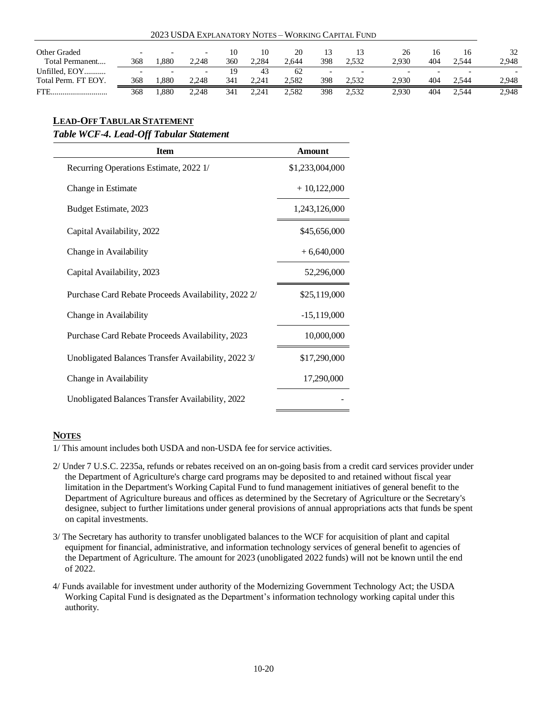| 2023 USDA EXPLANATORY NOTES - WORKING CAPITAL FUND |                          |                          |                          |     |       |       |     |                          |       |     |       |       |
|----------------------------------------------------|--------------------------|--------------------------|--------------------------|-----|-------|-------|-----|--------------------------|-------|-----|-------|-------|
| Other Graded                                       | $\overline{\phantom{0}}$ | $\overline{\phantom{0}}$ | $\overline{\phantom{a}}$ | 10  | 10    | 20    |     | 13                       | 26    | 16  |       | 32    |
| Total Permanent                                    | 368                      | .880                     | 2.248                    | 360 | 2.284 | 2.644 | 398 | 2.532                    | 2.930 | 404 | 2.544 | 2,948 |
| Unfilled, EOY                                      |                          |                          | $\overline{\phantom{a}}$ | 19  | 43    | -62   |     | $\overline{\phantom{0}}$ |       |     |       |       |
| Total Perm. FT EOY.                                | 368                      | .880                     | 2.248                    | 341 | 2.241 | 2.582 | 398 | 2.532                    | 2.930 | 404 | 2.544 | 2.948 |
| FTE.                                               | 368                      | .880                     | 2.248                    | 341 | 2.241 | 2.582 | 398 | 2.532                    | 2.930 | 404 | 2.544 | 2,948 |

# **LEAD-OFFTABULAR STATEMENT**

### *Table WCF-4. Lead-Off Tabular Statement*

| <b>Item</b>                                         | Amount          |
|-----------------------------------------------------|-----------------|
| Recurring Operations Estimate, 2022 1/              | \$1,233,004,000 |
| Change in Estimate                                  | $+10,122,000$   |
| Budget Estimate, 2023                               | 1,243,126,000   |
| Capital Availability, 2022                          | \$45,656,000    |
| Change in Availability                              | $+6,640,000$    |
| Capital Availability, 2023                          | 52,296,000      |
| Purchase Card Rebate Proceeds Availability, 2022 2/ | \$25,119,000    |
| Change in Availability                              | $-15,119,000$   |
| Purchase Card Rebate Proceeds Availability, 2023    | 10,000,000      |
| Unobligated Balances Transfer Availability, 2022 3/ | \$17,290,000    |
| Change in Availability                              | 17,290,000      |
| Unobligated Balances Transfer Availability, 2022    |                 |

# **NOTES**

1/ This amount includes both USDA and non-USDA fee for service activities.

- 2/ Under 7 U.S.C. 2235a, refunds or rebates received on an on-going basis from a credit card services provider under the Department of Agriculture's charge card programs may be deposited to and retained without fiscal year limitation in the Department's Working Capital Fund to fund management initiatives of general benefit to the Department of Agriculture bureaus and offices as determined by the Secretary of Agriculture or the Secretary's designee, subject to further limitations under general provisions of annual appropriations acts that funds be spent on capital investments.
- 3/ The Secretary has authority to transfer unobligated balances to the WCF for acquisition of plant and capital equipment for financial, administrative, and information technology services of general benefit to agencies of the Department of Agriculture. The amount for 2023 (unobligated 2022 funds) will not be known until the end of 2022.
- 4/ Funds available for investment under authority of the Modernizing Government Technology Act; the USDA Working Capital Fund is designated as the Department's information technology working capital under this authority.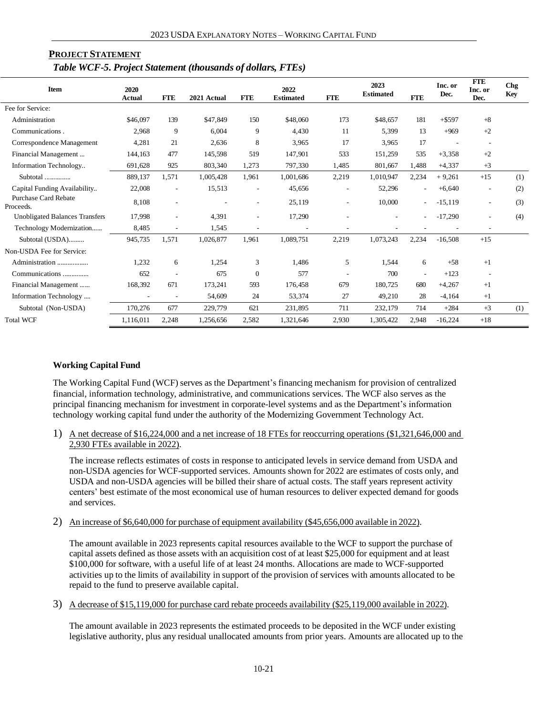| <b>PROJECT STATEMENT</b>                                    |  |
|-------------------------------------------------------------|--|
| Table WCF-5. Project Statement (thousands of dollars, FTEs) |  |

| <b>Item</b>                       | 2020<br>Actual           | <b>FTE</b>               | 2021 Actual | <b>FTE</b>               | 2022<br><b>Estimated</b> | <b>FTE</b> | 2023<br><b>Estimated</b> | <b>FTE</b>               | Inc. or<br>Dec. | <b>FTE</b><br>Inc. or<br>Dec. | <b>Chg</b><br><b>Key</b> |
|-----------------------------------|--------------------------|--------------------------|-------------|--------------------------|--------------------------|------------|--------------------------|--------------------------|-----------------|-------------------------------|--------------------------|
| Fee for Service:                  |                          |                          |             |                          |                          |            |                          |                          |                 |                               |                          |
| Administration                    | \$46,097                 | 139                      | \$47,849    | 150                      | \$48,060                 | 173        | \$48,657                 | 181                      | $+ $597$        | $+8$                          |                          |
| Communications.                   | 2,968                    | 9                        | 6,004       | 9                        | 4.430                    | 11         | 5,399                    | 13                       | $+969$          | $+2$                          |                          |
| Correspondence Management         | 4,281                    | 21                       | 2,636       | 8                        | 3,965                    | 17         | 3,965                    | 17                       |                 |                               |                          |
| Financial Management              | 144,163                  | 477                      | 145,598     | 519                      | 147,901                  | 533        | 151,259                  | 535                      | $+3,358$        | $+2$                          |                          |
| Information Technology            | 691,628                  | 925                      | 803,340     | 1,273                    | 797,330                  | 1,485      | 801,667                  | 1,488                    | $+4,337$        | $+3$                          |                          |
| Subtotal                          | 889,137                  | 1,571                    | 1,005,428   | 1,961                    | 1,001,686                | 2,219      | 1,010,947                | 2,234                    | $+9,261$        | $+15$                         | (1)                      |
| Capital Funding Availability      | 22,008                   | $\overline{\phantom{a}}$ | 15,513      | $\overline{\phantom{a}}$ | 45,656                   |            | 52,296                   |                          | $+6,640$        |                               | (2)                      |
| Purchase Card Rebate<br>Proceeds. | 8,108                    | $\overline{\phantom{a}}$ |             | $\overline{\phantom{a}}$ | 25,119                   |            | 10,000                   |                          | $-15,119$       | $\overline{\phantom{a}}$      | (3)                      |
| Unobligated Balances Transfers    | 17,998                   | $\overline{\phantom{a}}$ | 4,391       | $\overline{\phantom{a}}$ | 17,290                   |            |                          |                          | $-17,290$       |                               | (4)                      |
| Technology Modernization          | 8,485                    | $\overline{\phantom{a}}$ | 1,545       |                          |                          |            |                          |                          |                 | $\overline{\phantom{a}}$      |                          |
| Subtotal (USDA)                   | 945,735                  | 1,571                    | 1,026,877   | 1,961                    | 1,089,751                | 2,219      | 1,073,243                | 2,234                    | $-16,508$       | $+15$                         |                          |
| Non-USDA Fee for Service:         |                          |                          |             |                          |                          |            |                          |                          |                 |                               |                          |
| Administration                    | 1,232                    | 6                        | 1,254       | 3                        | 1,486                    | 5          | 1,544                    | 6                        | $+58$           | $+1$                          |                          |
| Communications                    | 652                      | $\overline{\phantom{a}}$ | 675         | $\boldsymbol{0}$         | 577                      |            | 700                      | $\overline{\phantom{a}}$ | $+123$          |                               |                          |
| Financial Management              | 168,392                  | 671                      | 173,241     | 593                      | 176,458                  | 679        | 180,725                  | 680                      | $+4,267$        | $+1$                          |                          |
| Information Technology            | $\overline{\phantom{a}}$ |                          | 54,609      | 24                       | 53,374                   | 27         | 49,210                   | 28                       | $-4,164$        | $+1$                          |                          |
| Subtotal (Non-USDA)               | 170,276                  | 677                      | 229,779     | 621                      | 231,895                  | 711        | 232,179                  | 714                      | $+284$          | $+3$                          | (1)                      |
| <b>Total WCF</b>                  | 1,116,011                | 2,248                    | 1,256,656   | 2,582                    | 1,321,646                | 2,930      | 1,305,422                | 2,948                    | $-16,224$       | $+18$                         |                          |

#### **Working Capital Fund**

The Working Capital Fund (WCF) serves as the Department's financing mechanism for provision of centralized financial, information technology, administrative, and communications services. The WCF also serves as the principal financing mechanism for investment in corporate-level systems and as the Department's information technology working capital fund under the authority of the Modernizing Government Technology Act.

1) A net decrease of \$16,224,000 and a net increase of 18 FTEs for reoccurring operations (\$1,321,646,000 and 2,930 FTEs available in 2022).

The increase reflects estimates of costs in response to anticipated levels in service demand from USDA and non-USDA agencies for WCF-supported services. Amounts shown for 2022 are estimates of costs only, and USDA and non-USDA agencies will be billed their share of actual costs. The staff years represent activity centers' best estimate of the most economical use of human resources to deliver expected demand for goods and services.

2) An increase of \$6,640,000 for purchase of equipment availability (\$45,656,000 available in 2022).

The amount available in 2023 represents capital resources available to the WCF to support the purchase of capital assets defined as those assets with an acquisition cost of at least \$25,000 for equipment and at least \$100,000 for software, with a useful life of at least 24 months. Allocations are made to WCF-supported activities up to the limits of availability in support of the provision of services with amounts allocated to be repaid to the fund to preserve available capital.

3) A decrease of \$15,119,000 for purchase card rebate proceeds availability (\$25,119,000 available in 2022).

The amount available in 2023 represents the estimated proceeds to be deposited in the WCF under existing legislative authority, plus any residual unallocated amounts from prior years. Amounts are allocated up to the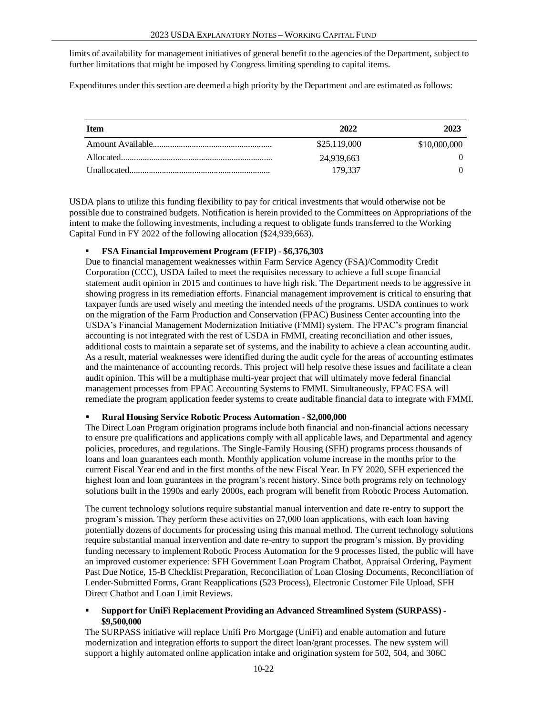limits of availability for management initiatives of general benefit to the agencies of the Department, subject to further limitations that might be imposed by Congress limiting spending to capital items.

Expenditures under this section are deemed a high priority by the Department and are estimated as follows:

| <b>Item</b> | 2022         | 2023         |
|-------------|--------------|--------------|
|             | \$25,119,000 | \$10,000,000 |
|             | 24,939,663   |              |
|             | 179.337      |              |

USDA plans to utilize this funding flexibility to pay for critical investments that would otherwise not be possible due to constrained budgets. Notification is herein provided to the Committees on Appropriations of the intent to make the following investments, including a request to obligate funds transferred to the Working Capital Fund in FY 2022 of the following allocation (\$24,939,663).

#### ▪ **FSA FinancialImprovement Program (FFIP) - \$6,376,303**

Due to financial management weaknesses within Farm Service Agency (FSA)/Commodity Credit Corporation (CCC), USDA failed to meet the requisites necessary to achieve a full scope financial statement audit opinion in 2015 and continues to have high risk. The Department needs to be aggressive in showing progress in its remediation efforts. Financial management improvement is critical to ensuring that taxpayer funds are used wisely and meeting the intended needs of the programs. USDA continues to work on the migration of the Farm Production and Conservation (FPAC) Business Center accounting into the USDA's Financial Management Modernization Initiative (FMMI) system. The FPAC's program financial accounting is not integrated with the rest of USDA in FMMI, creating reconciliation and other issues, additional costs to maintain a separate set of systems, and the inability to achieve a clean accounting audit. As a result, material weaknesses were identified during the audit cycle for the areas of accounting estimates and the maintenance of accounting records. This project will help resolve these issues and facilitate a clean audit opinion. This will be a multiphase multi-year project that will ultimately move federal financial management processes from FPAC Accounting Systems to FMMI. Simultaneously, FPAC FSA will remediate the program application feeder systems to create auditable financial data to integrate with FMMI.

#### ▪ **Rural Housing Service Robotic Process Automation - \$2,000,000**

The Direct Loan Program origination programs include both financial and non-financial actions necessary to ensure pre qualifications and applications comply with all applicable laws, and Departmental and agency policies, procedures, and regulations. The Single-Family Housing (SFH) programs process thousands of loans and loan guarantees each month. Monthly application volume increase in the months prior to the current Fiscal Year end and in the first months of the new Fiscal Year. In FY 2020, SFH experienced the highest loan and loan guarantees in the program's recent history. Since both programs rely on technology solutions built in the 1990s and early 2000s, each program will benefit from Robotic Process Automation.

The current technology solutions require substantial manual intervention and date re-entry to support the program's mission. They perform these activities on 27,000 loan applications, with each loan having potentially dozens of documents for processing using this manual method. The current technology solutions require substantial manual intervention and date re-entry to support the program's mission. By providing funding necessary to implement Robotic Process Automation for the 9 processes listed, the public will have an improved customer experience: SFH Government Loan Program Chatbot, Appraisal Ordering, Payment Past Due Notice, 15-B Checklist Preparation, Reconciliation of Loan Closing Documents, Reconciliation of Lender-Submitted Forms, Grant Reapplications (523 Process), Electronic Customer File Upload, SFH Direct Chatbot and Loan Limit Reviews.

#### ▪ **Support for UniFi Replacement Providing an Advanced Streamlined System (SURPASS) - \$9,500,000**

The SURPASS initiative will replace Unifi Pro Mortgage (UniFi) and enable automation and future modernization and integration efforts to support the direct loan/grant processes. The new system will support a highly automated online application intake and origination system for 502, 504, and 306C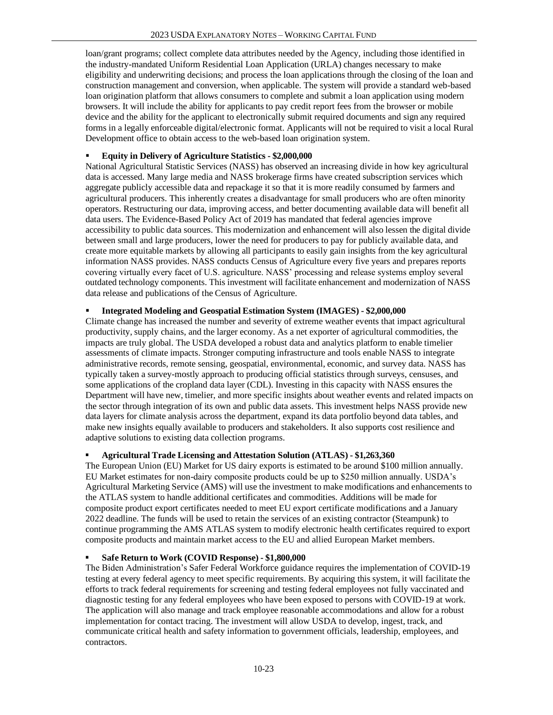loan/grant programs; collect complete data attributes needed by the Agency, including those identified in the industry-mandated Uniform Residential Loan Application (URLA) changes necessary to make eligibility and underwriting decisions; and process the loan applications through the closing of the loan and construction management and conversion, when applicable. The system will provide a standard web-based loan origination platform that allows consumers to complete and submit a loan application using modern browsers. It will include the ability for applicants to pay credit report fees from the browser or mobile device and the ability for the applicant to electronically submit required documents and sign any required forms in a legally enforceable digital/electronic format. Applicants will not be required to visit a local Rural Development office to obtain access to the web-based loan origination system.

### ▪ **Equity in Delivery of Agriculture Statistics - \$2,000,000**

National Agricultural Statistic Services (NASS) has observed an increasing divide in how key agricultural data is accessed. Many large media and NASS brokerage firms have created subscription services which aggregate publicly accessible data and repackage it so that it is more readily consumed by farmers and agricultural producers. This inherently creates a disadvantage for small producers who are often minority operators. Restructuring our data, improving access, and better documenting available data will benefit all data users. The Evidence-Based Policy Act of 2019 has mandated that federal agencies improve accessibility to public data sources. This modernization and enhancement will also lessen the digital divide between small and large producers, lower the need for producers to pay for publicly available data, and create more equitable markets by allowing all participants to easily gain insights from the key agricultural information NASS provides. NASS conducts Census of Agriculture every five years and prepares reports covering virtually every facet of U.S. agriculture. NASS' processing and release systems employ several outdated technology components. This investment will facilitate enhancement and modernization of NASS data release and publications of the Census of Agriculture.

## ▪ **Integrated Modeling and Geospatial Estimation System (IMAGES) - \$2,000,000**

Climate change has increased the number and severity of extreme weather events that impact agricultural productivity, supply chains, and the larger economy. As a net exporter of agricultural commodities, the impacts are truly global. The USDA developed a robust data and analytics platform to enable timelier assessments of climate impacts. Stronger computing infrastructure and tools enable NASS to integrate administrative records, remote sensing, geospatial, environmental, economic, and survey data. NASS has typically taken a survey-mostly approach to producing official statistics through surveys, censuses, and some applications of the cropland data layer (CDL). Investing in this capacity with NASS ensures the Department will have new, timelier, and more specific insights about weather events and related impacts on the sector through integration of its own and public data assets. This investment helps NASS provide new data layers for climate analysis across the department, expand its data portfolio beyond data tables, and make new insights equally available to producers and stakeholders. It also supports cost resilience and adaptive solutions to existing data collection programs.

#### ▪ **Agricultural Trade Licensing and Attestation Solution (ATLAS) - \$1,263,360**

The European Union (EU) Market for US dairy exports is estimated to be around \$100 million annually. EU Market estimates for non-dairy composite products could be up to \$250 million annually. USDA's Agricultural Marketing Service (AMS) will use the investment to make modifications and enhancements to the ATLAS system to handle additional certificates and commodities. Additions will be made for composite product export certificates needed to meet EU export certificate modifications and a January 2022 deadline. The funds will be used to retain the services of an existing contractor (Steampunk) to continue programming the AMS ATLAS system to modify electronic health certificates required to export composite products and maintain market access to the EU and allied European Market members.

# ▪ **Safe Return to Work (COVID Response) - \$1,800,000**

The Biden Administration's Safer Federal Workforce guidance requires the implementation of COVID-19 testing at every federal agency to meet specific requirements. By acquiring this system, it will facilitate the efforts to track federal requirements for screening and testing federal employees not fully vaccinated and diagnostic testing for any federal employees who have been exposed to persons with COVID-19 at work. The application will also manage and track employee reasonable accommodations and allow for a robust implementation for contact tracing. The investment will allow USDA to develop, ingest, track, and communicate critical health and safety information to government officials, leadership, employees, and contractors.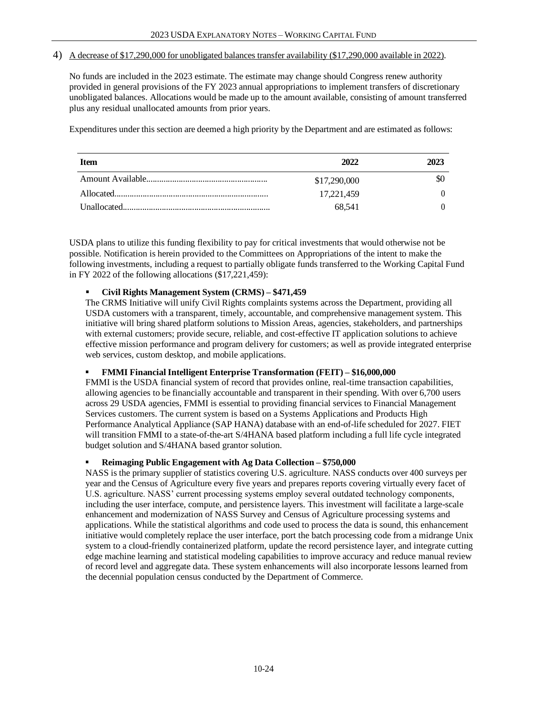#### 4) A decrease of \$17,290,000 for unobligated balances transfer availability (\$17,290,000 available in 2022).

No funds are included in the 2023 estimate. The estimate may change should Congress renew authority provided in general provisions of the FY 2023 annual appropriations to implement transfers of discretionary unobligated balances. Allocations would be made up to the amount available, consisting of amount transferred plus any residual unallocated amounts from prior years.

Expenditures under this section are deemed a high priority by the Department and are estimated as follows:

| <b>Item</b> | 2022         | 2023 |
|-------------|--------------|------|
|             | \$17,290,000 | \$O  |
|             | 17.221.459   |      |
|             | 68.541       |      |

USDA plans to utilize this funding flexibility to pay for critical investments that would otherwise not be possible. Notification is herein provided to the Committees on Appropriations of the intent to make the following investments, including a request to partially obligate funds transferred to the Working Capital Fund in FY 2022 of the following allocations (\$17,221,459):

#### ▪ **Civil Rights Management System (CRMS) – \$471,459**

The CRMS Initiative will unify Civil Rights complaints systems across the Department, providing all USDA customers with a transparent, timely, accountable, and comprehensive management system. This initiative will bring shared platform solutions to Mission Areas, agencies, stakeholders, and partnerships with external customers; provide secure, reliable, and cost-effective IT application solutions to achieve effective mission performance and program delivery for customers; as well as provide integrated enterprise web services, custom desktop, and mobile applications.

#### ▪ **FMMI FinancialIntelligent Enterprise Transformation (FEIT) – \$16,000,000**

FMMI is the USDA financial system of record that provides online, real-time transaction capabilities, allowing agencies to be financially accountable and transparent in their spending. With over 6,700 users across 29 USDA agencies, FMMI is essential to providing financial services to Financial Management Services customers. The current system is based on a Systems Applications and Products High Performance Analytical Appliance (SAP HANA) database with an end-of-life scheduled for 2027. FIET will transition FMMI to a state-of-the-art S/4HANA based platform including a full life cycle integrated budget solution and S/4HANA based grantor solution.

#### ▪ **Reimaging Public Engagement with Ag Data Collection – \$750,000**

NASS is the primary supplier of statistics covering U.S. agriculture. NASS conducts over 400 surveys per year and the Census of Agriculture every five years and prepares reports covering virtually every facet of U.S. agriculture. NASS' current processing systems employ several outdated technology components, including the user interface, compute, and persistence layers. This investment will facilitate a large-scale enhancement and modernization of NASS Survey and Census of Agriculture processing systems and applications. While the statistical algorithms and code used to process the data is sound, this enhancement initiative would completely replace the user interface, port the batch processing code from a midrange Unix system to a cloud-friendly containerized platform, update the record persistence layer, and integrate cutting edge machine learning and statistical modeling capabilities to improve accuracy and reduce manual review of record level and aggregate data. These system enhancements will also incorporate lessons learned from the decennial population census conducted by the Department of Commerce.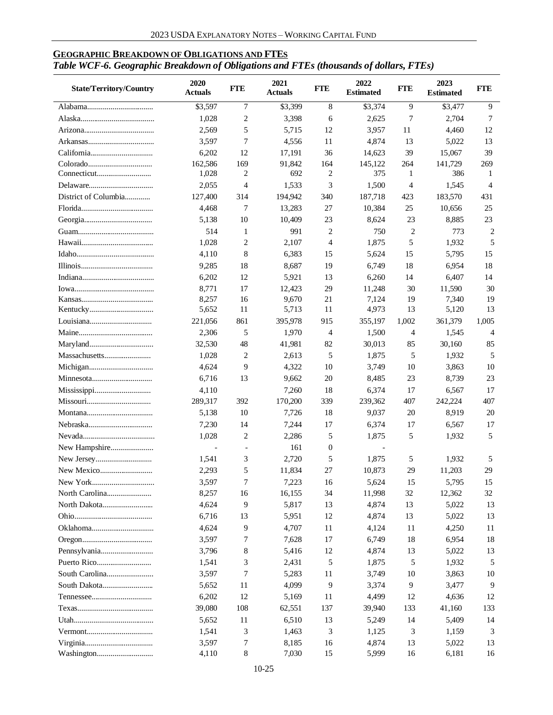# **GEOGRAPHIC BREAKDOWN OF OBLIGATIONS AND FTES** *Table WCF-6. Geographic Breakdown of Obligations and FTEs (thousands of dollars, FTEs)*

| <b>State/Territory/Country</b> | 2020<br>Actuals | <b>FTE</b>   | 2021<br><b>Actuals</b> | <b>FTE</b>       | 2022<br><b>Estimated</b> | <b>FTE</b>     | 2023<br><b>Estimated</b> | <b>FTE</b>     |
|--------------------------------|-----------------|--------------|------------------------|------------------|--------------------------|----------------|--------------------------|----------------|
|                                | \$3,597         | 7            | \$3,399                | 8                | \$3,374                  | 9              | \$3,477                  | 9              |
|                                | 1,028           | 2            | 3,398                  | 6                | 2,625                    | 7              | 2,704                    | 7              |
|                                | 2,569           | 5            | 5,715                  | 12               | 3,957                    | 11             | 4,460                    | 12             |
|                                | 3,597           | 7            | 4,556                  | 11               | 4,874                    | 13             | 5,022                    | 13             |
|                                | 6,202           | 12           | 17,191                 | 36               | 14,623                   | 39             | 15,067                   | 39             |
|                                | 162,586         | 169          | 91,842                 | 164              | 145,122                  | 264            | 141,729                  | 269            |
|                                | 1,028           | 2            | 692                    | $\overline{c}$   | 375                      | 1              | 386                      | 1              |
|                                | 2,055           | 4            | 1,533                  | 3                | 1,500                    | 4              | 1,545                    | 4              |
| District of Columbia           | 127,400         | 314          | 194,942                | 340              | 187,718                  | 423            | 183,570                  | 431            |
|                                | 4,468           | 7            | 13,283                 | 27               | 10,384                   | 25             | 10,656                   | 25             |
|                                | 5,138           | 10           | 10,409                 | 23               | 8,624                    | 23             | 8,885                    | 23             |
|                                | 514             | $\mathbf{1}$ | 991                    | $\overline{2}$   | 750                      | $\overline{c}$ | 773                      | $\overline{c}$ |
|                                | 1,028           | 2            | 2,107                  | $\overline{4}$   | 1,875                    | 5              | 1,932                    | 5              |
|                                | 4,110           | 8            | 6,383                  | 15               | 5,624                    | 15             | 5,795                    | 15             |
|                                | 9,285           | 18           | 8,687                  | 19               | 6,749                    | 18             | 6,954                    | 18             |
|                                | 6,202           | 12           | 5,921                  | 13               | 6,260                    | 14             | 6,407                    | 14             |
|                                | 8,771           | 17           | 12,423                 | 29               | 11,248                   | 30             | 11,590                   | 30             |
|                                | 8,257           | 16           | 9,670                  | 21               | 7,124                    | 19             | 7,340                    | 19             |
|                                | 5,652           | 11           | 5,713                  | 11               | 4,973                    | 13             | 5,120                    | 13             |
|                                | 221,056         | 861          | 395,978                | 915              | 355,197                  | 1,002          | 361,379                  | 1,005          |
|                                | 2,306           | 5            | 1,970                  | $\overline{4}$   | 1,500                    | 4              | 1,545                    | 4              |
|                                | 32,530          | 48           | 41,981                 | 82               | 30,013                   | 85             | 30,160                   | 85             |
|                                | 1,028           | 2            | 2,613                  | 5                | 1,875                    | 5              | 1,932                    | 5              |
|                                | 4,624           | 9            | 4,322                  | 10               | 3,749                    | 10             | 3,863                    | 10             |
|                                | 6,716           | 13           | 9,662                  | 20               | 8,485                    | 23             | 8,739                    | 23             |
|                                | 4,110           |              | 7,260                  | 18               | 6,374                    | 17             | 6,567                    | 17             |
|                                | 289,317         | 392          | 170,200                | 339              | 239,362                  | 407            | 242,224                  | 407            |
|                                | 5,138           | 10           | 7,726                  | 18               | 9,037                    | 20             | 8,919                    | 20             |
|                                | 7,230           | 14           | 7,244                  | 17               | 6,374                    | 17             | 6,567                    | 17             |
|                                | 1,028           | 2            | 2,286                  | 5                | 1,875                    | 5              | 1,932                    | 5              |
|                                |                 |              | 161                    | $\boldsymbol{0}$ |                          |                |                          |                |
| New Hampshire                  | 1,541           | 3            | 2,720                  | 5                | 1,875                    | 5              | 1,932                    |                |
|                                | 2,293           | 5            |                        | 27               | 10,873                   | 29             | 11,203                   | 5<br>29        |
|                                | 3,597           | 7            | 11,834                 |                  | 5,624                    | 15             |                          | 15             |
|                                |                 |              | 7,223                  | 16               |                          |                | 5,795                    |                |
|                                | 8,257           | 16           | 16,155                 | 34               | 11,998                   | 32             | 12,362                   | 32             |
|                                | 4,624           | 9            | 5,817                  | 13               | 4,874                    | 13             | 5,022                    | 13             |
|                                | 6,716           | 13           | 5,951                  | 12               | 4,874                    | 13             | 5,022                    | 13             |
|                                | 4,624           | 9            | 4,707                  | 11               | 4,124                    | 11             | 4,250                    | 11             |
|                                | 3,597           | 7            | 7,628                  | 17               | 6,749                    | 18             | 6,954                    | 18             |
|                                | 3,796           | 8            | 5,416                  | 12               | 4,874                    | 13             | 5,022                    | 13             |
|                                | 1,541           | 3            | 2,431                  | 5                | 1,875                    | 5              | 1,932                    | 5              |
| South Carolina                 | 3,597           | 7            | 5,283                  | 11               | 3,749                    | 10             | 3,863                    | 10             |
|                                | 5,652           | 11           | 4,099                  | 9                | 3,374                    | 9              | 3,477                    | 9              |
|                                | 6,202           | 12           | 5,169                  | 11               | 4,499                    | 12             | 4,636                    | 12             |
|                                | 39,080          | 108          | 62,551                 | 137              | 39,940                   | 133            | 41,160                   | 133            |
|                                | 5,652           | 11           | 6,510                  | 13               | 5,249                    | 14             | 5,409                    | 14             |
|                                | 1,541           | 3            | 1,463                  | 3                | 1,125                    | 3              | 1,159                    | 3              |
|                                | 3,597           | 7            | 8,185                  | 16               | 4,874                    | 13             | 5,022                    | 13             |
|                                | 4,110           | 8            | 7,030                  | 15               | 5,999                    | 16             | 6,181                    | 16             |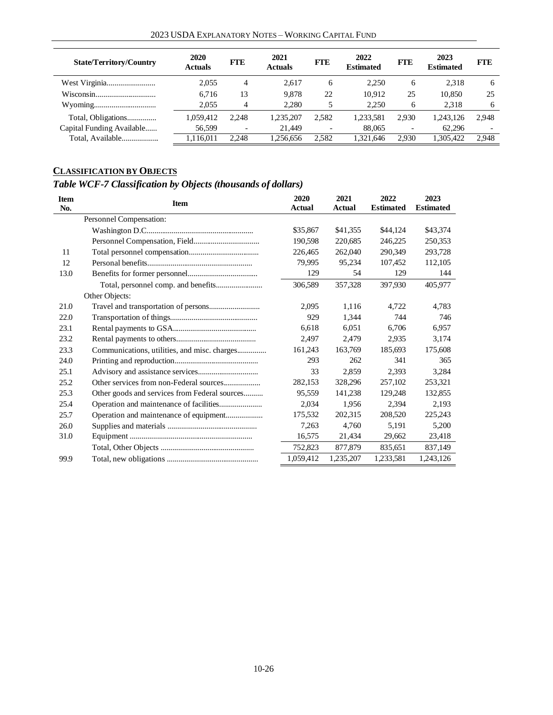| <b>State/Territory/Country</b> | 2020<br>Actuals | <b>FTE</b>               | 2021<br><b>Actuals</b> | <b>FTE</b>               | 2022<br><b>Estimated</b> | <b>FTE</b>               | 2023<br><b>Estimated</b> | <b>FTE</b>               |
|--------------------------------|-----------------|--------------------------|------------------------|--------------------------|--------------------------|--------------------------|--------------------------|--------------------------|
|                                | 2,055           | 4                        | 2.617                  | 6                        | 2,250                    | 6                        | 2.318                    | 6                        |
|                                | 6.716           | 13                       | 9.878                  | 22                       | 10.912                   | 25                       | 10.850                   | 25                       |
|                                | 2.055           | 4                        | 2.280                  |                          | 2.250                    | 6                        | 2,318                    | 6                        |
| Total, Obligations             | 1.059.412       | 2.248                    | 1.235.207              | 2.582                    | 1.233.581                | 2.930                    | 1.243.126                | 2.948                    |
| Capital Funding Available      | 56,599          | $\overline{\phantom{a}}$ | 21.449                 | $\overline{\phantom{a}}$ | 88,065                   | $\overline{\phantom{a}}$ | 62.296                   | $\overline{\phantom{0}}$ |
| Total, Available               | 1,116,011       | 2.248                    | .256.656               | 2.582                    | 1,321,646                | 2.930                    | 1,305,422                | 2.948                    |

# **CLASSIFICATION BY OBJECTS**

# *Table WCF-7 Classification by Objects (thousands of dollars)*

| <b>Item</b><br>No. | <b>Item</b>                                   | 2020<br><b>Actual</b> | 2021<br>Actual | 2022<br><b>Estimated</b> | 2023<br><b>Estimated</b> |
|--------------------|-----------------------------------------------|-----------------------|----------------|--------------------------|--------------------------|
|                    | Personnel Compensation:                       |                       |                |                          |                          |
|                    |                                               | \$35,867              | \$41,355       | \$44,124                 | \$43,374                 |
|                    |                                               | 190,598               | 220,685        | 246,225                  | 250,353                  |
| 11                 |                                               | 226,465               | 262,040        | 290,349                  | 293,728                  |
| 12                 |                                               | 79,995                | 95,234         | 107,452                  | 112,105                  |
| 13.0               |                                               | 129                   | 54             | 129                      | 144                      |
|                    |                                               | 306,589               | 357,328        | 397.930                  | 405.977                  |
|                    | Other Objects:                                |                       |                |                          |                          |
| 21.0               |                                               | 2.095                 | 1.116          | 4.722                    | 4.783                    |
| 22.0               |                                               | 929                   | 1.344          | 744                      | 746                      |
| 23.1               |                                               | 6,618                 | 6,051          | 6.706                    | 6,957                    |
| 23.2               |                                               | 2,497                 | 2,479          | 2,935                    | 3,174                    |
| 23.3               | Communications, utilities, and misc. charges  | 161,243               | 163,769        | 185,693                  | 175,608                  |
| 24.0               |                                               | 293                   | 262            | 341                      | 365                      |
| 25.1               |                                               | 33                    | 2.859          | 2.393                    | 3,284                    |
| 25.2               |                                               | 282,153               | 328,296        | 257,102                  | 253,321                  |
| 25.3               | Other goods and services from Federal sources | 95,559                | 141,238        | 129,248                  | 132,855                  |
| 25.4               |                                               | 2,034                 | 1.956          | 2,394                    | 2,193                    |
| 25.7               | Operation and maintenance of equipment        | 175,532               | 202.315        | 208,520                  | 225,243                  |
| 26.0               |                                               | 7,263                 | 4.760          | 5.191                    | 5,200                    |
| 31.0               |                                               | 16,575                | 21,434         | 29,662                   | 23,418                   |
|                    |                                               | 752,823               | 877,879        | 835,651                  | 837,149                  |
| 99.9               |                                               | 1.059.412             | 1,235,207      | 1,233,581                | 1,243,126                |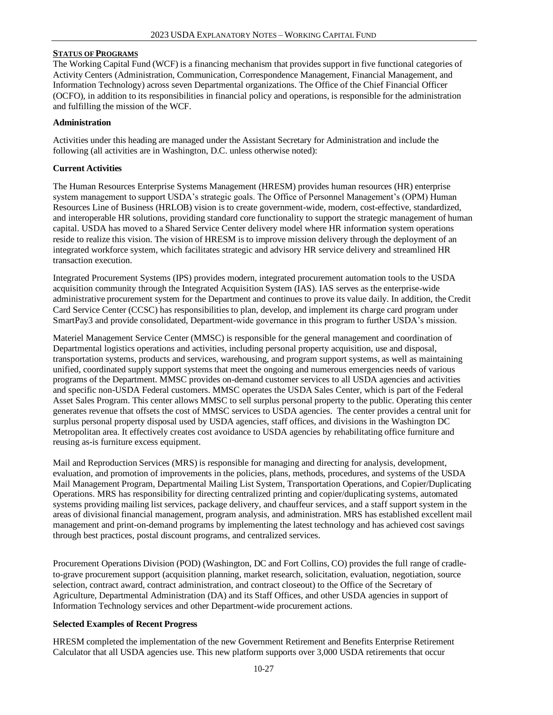#### **STATUS OF PROGRAMS**

The Working Capital Fund (WCF) is a financing mechanism that provides support in five functional categories of Activity Centers (Administration, Communication, Correspondence Management, Financial Management, and Information Technology) across seven Departmental organizations. The Office of the Chief Financial Officer (OCFO), in addition to its responsibilities in financial policy and operations, is responsible for the administration and fulfilling the mission of the WCF.

#### **Administration**

Activities under this heading are managed under the Assistant Secretary for Administration and include the following (all activities are in Washington, D.C. unless otherwise noted):

## **Current Activities**

The Human Resources Enterprise Systems Management (HRESM) provides human resources (HR) enterprise system management to support USDA's strategic goals. The Office of Personnel Management's (OPM) Human Resources Line of Business (HRLOB) vision is to create government-wide, modern, cost-effective, standardized, and interoperable HR solutions, providing standard core functionality to support the strategic management of human capital. USDA has moved to a Shared Service Center delivery model where HR information system operations reside to realize this vision. The vision of HRESM is to improve mission delivery through the deployment of an integrated workforce system, which facilitates strategic and advisory HR service delivery and streamlined HR transaction execution.

Integrated Procurement Systems (IPS) provides modern, integrated procurement automation tools to the USDA acquisition community through the Integrated Acquisition System (IAS). IAS serves as the enterprise-wide administrative procurement system for the Department and continues to prove its value daily. In addition, the Credit Card Service Center (CCSC) has responsibilities to plan, develop, and implement its charge card program under SmartPay3 and provide consolidated, Department-wide governance in this program to further USDA's mission.

Materiel Management Service Center (MMSC) is responsible for the general management and coordination of Departmental logistics operations and activities, including personal property acquisition, use and disposal, transportation systems, products and services, warehousing, and program support systems, as well as maintaining unified, coordinated supply support systems that meet the ongoing and numerous emergencies needs of various programs of the Department. MMSC provides on-demand customer services to all USDA agencies and activities and specific non-USDA Federal customers. MMSC operates the USDA Sales Center, which is part of the Federal Asset Sales Program. This center allows MMSC to sell surplus personal property to the public. Operating this center generates revenue that offsets the cost of MMSC services to USDA agencies. The center provides a central unit for surplus personal property disposal used by USDA agencies, staff offices, and divisions in the Washington DC Metropolitan area. It effectively creates cost avoidance to USDA agencies by rehabilitating office furniture and reusing as-is furniture excess equipment.

Mail and Reproduction Services (MRS) is responsible for managing and directing for analysis, development, evaluation, and promotion of improvements in the policies, plans, methods, procedures, and systems of the USDA Mail Management Program, Departmental Mailing List System, Transportation Operations, and Copier/Duplicating Operations. MRS has responsibility for directing centralized printing and copier/duplicating systems, automated systems providing mailing list services, package delivery, and chauffeur services, and a staff support system in the areas of divisional financial management, program analysis, and administration. MRS has established excellent mail management and print-on-demand programs by implementing the latest technology and has achieved cost savings through best practices, postal discount programs, and centralized services.

Procurement Operations Division (POD) (Washington, DC and Fort Collins, CO) provides the full range of cradleto-grave procurement support (acquisition planning, market research, solicitation, evaluation, negotiation, source selection, contract award, contract administration, and contract closeout) to the Office of the Secretary of Agriculture, Departmental Administration (DA) and its Staff Offices, and other USDA agencies in support of Information Technology services and other Department-wide procurement actions.

#### **Selected Examples of Recent Progress**

HRESM completed the implementation of the new Government Retirement and Benefits Enterprise Retirement Calculator that all USDA agencies use. This new platform supports over 3,000 USDA retirements that occur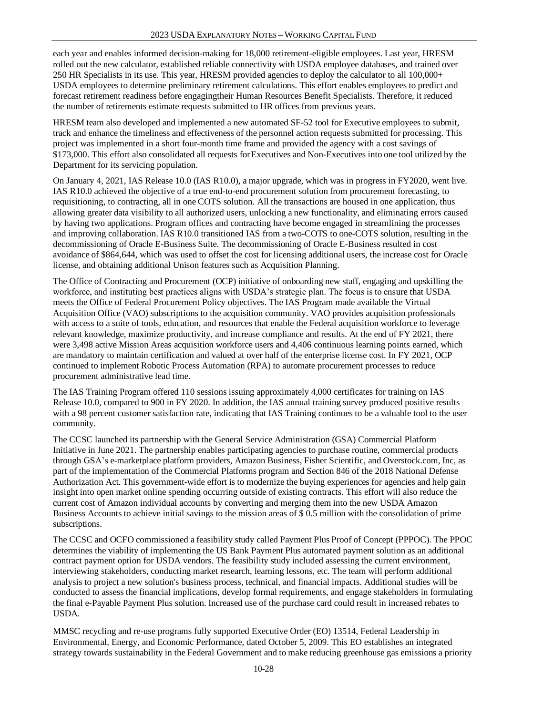each year and enables informed decision-making for 18,000 retirement-eligible employees. Last year, HRESM rolled out the new calculator, established reliable connectivity with USDA employee databases, and trained over 250 HR Specialists in its use. This year, HRESM provided agencies to deploy the calculator to all 100,000+ USDA employees to determine preliminary retirement calculations. This effort enables employees to predict and forecast retirement readiness before engagingtheir Human Resources Benefit Specialists. Therefore, it reduced the number of retirements estimate requests submitted to HR offices from previous years.

HRESM team also developed and implemented a new automated SF-52 tool for Executive employees to submit, track and enhance the timeliness and effectiveness of the personnel action requests submitted for processing. This project was implemented in a short four-month time frame and provided the agency with a cost savings of \$173,000. This effort also consolidated all requests forExecutives and Non-Executives into one tool utilized by the Department for its servicing population.

On January 4, 2021, IAS Release 10.0 (IAS R10.0), a major upgrade, which was in progress in FY2020, went live. IAS R10.0 achieved the objective of a true end-to-end procurement solution from procurement forecasting, to requisitioning, to contracting, all in one COTS solution. All the transactions are housed in one application, thus allowing greater data visibility to all authorized users, unlocking a new functionality, and eliminating errors caused by having two applications. Program offices and contracting have become engaged in streamlining the processes and improving collaboration. IAS R10.0 transitioned IAS from a two-COTS to one-COTS solution, resulting in the decommissioning of Oracle E-Business Suite. The decommissioning of Oracle E-Business resulted in cost avoidance of \$864,644, which was used to offset the cost for licensing additional users, the increase cost for Oracle license, and obtaining additional Unison features such as Acquisition Planning.

The Office of Contracting and Procurement (OCP) initiative of onboarding new staff, engaging and upskilling the workforce, and instituting best practices aligns with USDA's strategic plan. The focus is to ensure that USDA meets the Office of Federal Procurement Policy objectives. The IAS Program made available the Virtual Acquisition Office (VAO) subscriptions to the acquisition community. VAO provides acquisition professionals with access to a suite of tools, education, and resources that enable the Federal acquisition workforce to leverage relevant knowledge, maximize productivity, and increase compliance and results. At the end of FY 2021, there were 3,498 active Mission Areas acquisition workforce users and 4,406 continuous learning points earned, which are mandatory to maintain certification and valued at over half of the enterprise license cost. In FY 2021, OCP continued to implement Robotic Process Automation (RPA) to automate procurement processes to reduce procurement administrative lead time.

The IAS Training Program offered 110 sessions issuing approximately 4,000 certificates for training on IAS Release 10.0, compared to 900 in FY 2020. In addition, the IAS annual training survey produced positive results with a 98 percent customer satisfaction rate, indicating that IAS Training continues to be a valuable tool to the user community.

The CCSC launched its partnership with the General Service Administration (GSA) Commercial Platform Initiative in June 2021. The partnership enables participating agencies to purchase routine, commercial products through GSA's e-marketplace platform providers, Amazon Business, Fisher Scientific, and Overstock.com, Inc, as part of the implementation of the Commercial Platforms program and Section 846 of the 2018 National Defense Authorization Act. This government-wide effort is to modernize the buying experiences for agencies and help gain insight into open market online spending occurring outside of existing contracts. This effort will also reduce the current cost of Amazon individual accounts by converting and merging them into the new USDA Amazon Business Accounts to achieve initial savings to the mission areas of \$ 0.5 million with the consolidation of prime subscriptions.

The CCSC and OCFO commissioned a feasibility study called Payment Plus Proof of Concept (PPPOC). The PPOC determines the viability of implementing the US Bank Payment Plus automated payment solution as an additional contract payment option for USDA vendors. The feasibility study included assessing the current environment, interviewing stakeholders, conducting market research, learning lessons, etc. The team will perform additional analysis to project a new solution's business process, technical, and financial impacts. Additional studies will be conducted to assess the financial implications, develop formal requirements, and engage stakeholders in formulating the final e-Payable Payment Plus solution. Increased use of the purchase card could result in increased rebates to USDA.

MMSC recycling and re-use programs fully supported Executive Order (EO) 13514, Federal Leadership in Environmental, Energy, and Economic Performance, dated October 5, 2009. This EO establishes an integrated strategy towards sustainability in the Federal Government and to make reducing greenhouse gas emissions a priority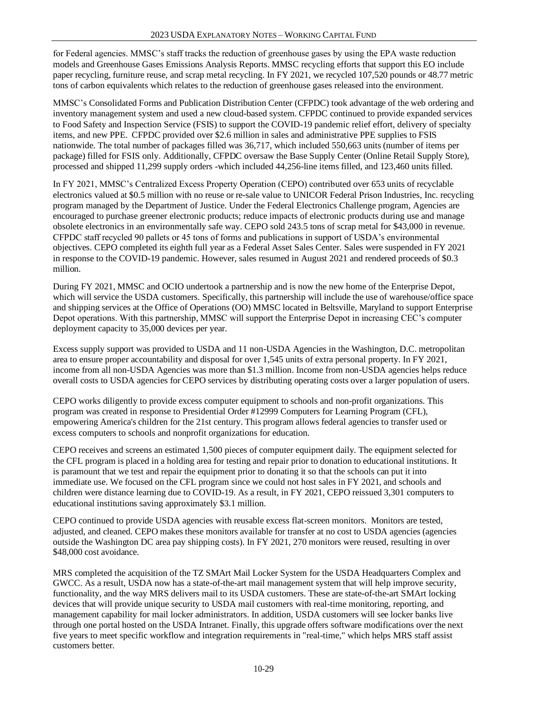for Federal agencies. MMSC's staff tracks the reduction of greenhouse gases by using the EPA waste reduction models and Greenhouse Gases Emissions Analysis Reports. MMSC recycling efforts that support this EO include paper recycling, furniture reuse, and scrap metal recycling. In FY 2021, we recycled 107,520 pounds or 48.77 metric tons of carbon equivalents which relates to the reduction of greenhouse gases released into the environment.

MMSC's Consolidated Forms and Publication Distribution Center (CFPDC) took advantage of the web ordering and inventory management system and used a new cloud-based system. CFPDC continued to provide expanded services to Food Safety and Inspection Service (FSIS) to support the COVID-19 pandemic relief effort, delivery of specialty items, and new PPE. CFPDC provided over \$2.6 million in sales and administrative PPE supplies to FSIS nationwide. The total number of packages filled was 36,717, which included 550,663 units (number of items per package) filled for FSIS only. Additionally, CFPDC oversaw the Base Supply Center (Online Retail Supply Store), processed and shipped 11,299 supply orders -which included 44,256-line items filled, and 123,460 units filled.

In FY 2021, MMSC's Centralized Excess Property Operation (CEPO) contributed over 653 units of recyclable electronics valued at \$0.5 million with no reuse or re-sale value to UNICOR Federal Prison Industries, Inc. recycling program managed by the Department of Justice. Under the Federal Electronics Challenge program, Agencies are encouraged to purchase greener electronic products; reduce impacts of electronic products during use and manage obsolete electronics in an environmentally safe way. CEPO sold 243.5 tons of scrap metal for \$43,000 in revenue. CFPDC staff recycled 90 pallets or 45 tons of forms and publications in support of USDA's environmental objectives. CEPO completed its eighth full year as a Federal Asset Sales Center. Sales were suspended in FY 2021 in response to the COVID-19 pandemic. However, sales resumed in August 2021 and rendered proceeds of \$0.3 million.

During FY 2021, MMSC and OCIO undertook a partnership and is now the new home of the Enterprise Depot, which will service the USDA customers. Specifically, this partnership will include the use of warehouse/office space and shipping services at the Office of Operations (OO) MMSC located in Beltsville, Maryland to support Enterprise Depot operations. With this partnership, MMSC will support the Enterprise Depot in increasing CEC's computer deployment capacity to 35,000 devices per year.

Excess supply support was provided to USDA and 11 non-USDA Agencies in the Washington, D.C. metropolitan area to ensure proper accountability and disposal for over 1,545 units of extra personal property. In FY 2021, income from all non-USDA Agencies was more than \$1.3 million. Income from non-USDA agencies helps reduce overall costs to USDA agencies for CEPO services by distributing operating costs over a larger population of users.

CEPO works diligently to provide excess computer equipment to schools and non-profit organizations. This program was created in response to Presidential Order #12999 Computers for Learning Program (CFL), empowering America's children for the 21st century. This program allows federal agencies to transfer used or excess computers to schools and nonprofit organizations for education.

CEPO receives and screens an estimated 1,500 pieces of computer equipment daily. The equipment selected for the CFL program is placed in a holding area for testing and repair prior to donation to educational institutions. It is paramount that we test and repair the equipment prior to donating it so that the schools can put it into immediate use. We focused on the CFL program since we could not host sales in FY 2021, and schools and children were distance learning due to COVID-19. As a result, in FY 2021, CEPO reissued 3,301 computers to educational institutions saving approximately \$3.1 million.

CEPO continued to provide USDA agencies with reusable excess flat-screen monitors. Monitors are tested, adjusted, and cleaned. CEPO makes these monitors available for transfer at no cost to USDA agencies (agencies outside the Washington DC area pay shipping costs). In FY 2021, 270 monitors were reused, resulting in over \$48,000 cost avoidance.

MRS completed the acquisition of the TZ SMArt Mail Locker System for the USDA Headquarters Complex and GWCC. As a result, USDA now has a state-of-the-art mail management system that will help improve security, functionality, and the way MRS delivers mail to its USDA customers. These are state-of-the-art SMArt locking devices that will provide unique security to USDA mail customers with real-time monitoring, reporting, and management capability for mail locker administrators. In addition, USDA customers will see locker banks live through one portal hosted on the USDA Intranet. Finally, this upgrade offers software modifications over the next five years to meet specific workflow and integration requirements in "real-time," which helps MRS staff assist customers better.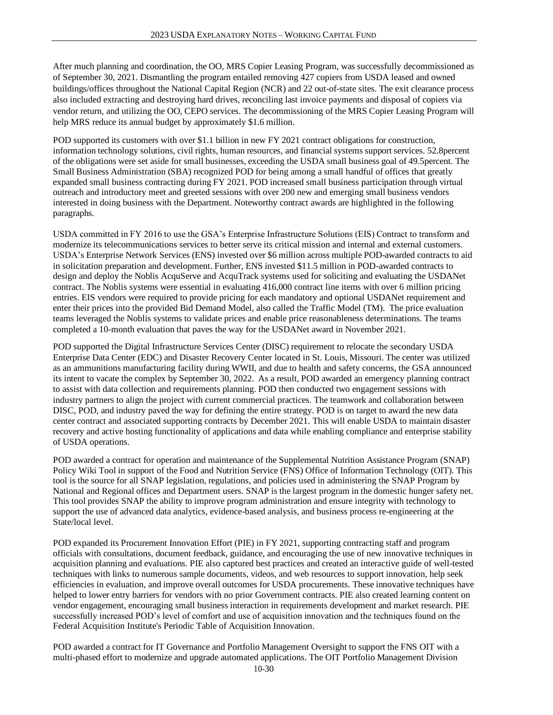After much planning and coordination, the OO, MRS Copier Leasing Program, was successfully decommissioned as of September 30, 2021. Dismantling the program entailed removing 427 copiers from USDA leased and owned buildings/offices throughout the National Capital Region (NCR) and 22 out-of-state sites. The exit clearance process also included extracting and destroying hard drives, reconciling last invoice payments and disposal of copiers via vendor return, and utilizing the OO, CEPO services. The decommissioning of the MRS Copier Leasing Program will help MRS reduce its annual budget by approximately \$1.6 million.

POD supported its customers with over \$1.1 billion in new FY 2021 contract obligations for construction, information technology solutions, civil rights, human resources, and financial systems support services. 52.8percent of the obligations were set aside for small businesses, exceeding the USDA small business goal of 49.5percent. The Small Business Administration (SBA) recognized POD for being among a small handful of offices that greatly expanded small business contracting during FY 2021. POD increased small business participation through virtual outreach and introductory meet and greeted sessions with over 200 new and emerging small business vendors interested in doing business with the Department. Noteworthy contract awards are highlighted in the following paragraphs.

USDA committed in FY 2016 to use the GSA's Enterprise Infrastructure Solutions (EIS) Contract to transform and modernize its telecommunications services to better serve its critical mission and internal and external customers. USDA's Enterprise Network Services (ENS) invested over \$6 million across multiple POD-awarded contracts to aid in solicitation preparation and development. Further, ENS invested \$11.5 million in POD-awarded contracts to design and deploy the Noblis AcquServe and AcquTrack systems used for soliciting and evaluating the USDANet contract. The Noblis systems were essential in evaluating 416,000 contract line items with over 6 million pricing entries. EIS vendors were required to provide pricing for each mandatory and optional USDANet requirement and enter their prices into the provided Bid Demand Model, also called the Traffic Model (TM). The price evaluation teams leveraged the Noblis systems to validate prices and enable price reasonableness determinations. The teams completed a 10-month evaluation that paves the way for the USDANet award in November 2021.

POD supported the Digital Infrastructure Services Center (DISC) requirement to relocate the secondary USDA Enterprise Data Center (EDC) and Disaster Recovery Center located in St. Louis, Missouri. The center was utilized as an ammunitions manufacturing facility during WWII, and due to health and safety concerns, the GSA announced its intent to vacate the complex by September 30, 2022. As a result, POD awarded an emergency planning contract to assist with data collection and requirements planning. POD then conducted two engagement sessions with industry partners to align the project with current commercial practices. The teamwork and collaboration between DISC, POD, and industry paved the way for defining the entire strategy. POD is on target to award the new data center contract and associated supporting contracts by December 2021. This will enable USDA to maintain disaster recovery and active hosting functionality of applications and data while enabling compliance and enterprise stability of USDA operations.

POD awarded a contract for operation and maintenance of the Supplemental Nutrition Assistance Program (SNAP) Policy Wiki Tool in support of the Food and Nutrition Service (FNS) Office of Information Technology (OIT). This tool is the source for all SNAP legislation, regulations, and policies used in administering the SNAP Program by National and Regional offices and Department users. SNAP is the largest program in the domestic hunger safety net. This tool provides SNAP the ability to improve program administration and ensure integrity with technology to support the use of advanced data analytics, evidence-based analysis, and business process re-engineering at the State/local level.

POD expanded its Procurement Innovation Effort (PIE) in FY 2021, supporting contracting staff and program officials with consultations, document feedback, guidance, and encouraging the use of new innovative techniques in acquisition planning and evaluations. PIE also captured best practices and created an interactive guide of well-tested techniques with links to numerous sample documents, videos, and web resources to support innovation, help seek efficiencies in evaluation, and improve overall outcomes for USDA procurements. These innovative techniques have helped to lower entry barriers for vendors with no prior Government contracts. PIE also created learning content on vendor engagement, encouraging small business interaction in requirements development and market research. PIE successfully increased POD's level of comfort and use of acquisition innovation and the techniques found on the Federal Acquisition Institute's Periodic Table of Acquisition Innovation.

POD awarded a contract for IT Governance and Portfolio Management Oversight to support the FNS OIT with a multi-phased effort to modernize and upgrade automated applications. The OIT Portfolio Management Division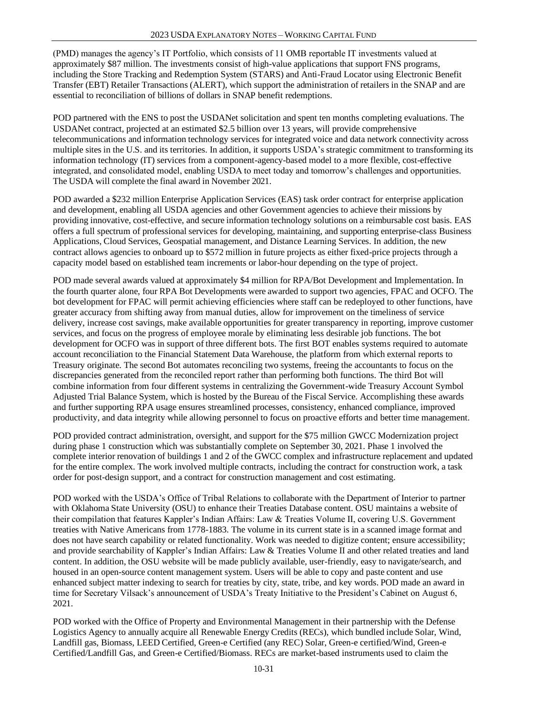(PMD) manages the agency's IT Portfolio, which consists of 11 OMB reportable IT investments valued at approximately \$87 million. The investments consist of high-value applications that support FNS programs, including the Store Tracking and Redemption System (STARS) and Anti-Fraud Locator using Electronic Benefit Transfer (EBT) Retailer Transactions (ALERT), which support the administration of retailers in the SNAP and are essential to reconciliation of billions of dollars in SNAP benefit redemptions.

POD partnered with the ENS to post the USDANet solicitation and spent ten months completing evaluations. The USDANet contract, projected at an estimated \$2.5 billion over 13 years, will provide comprehensive telecommunications and information technology services for integrated voice and data network connectivity across multiple sites in the U.S. and its territories. In addition, it supports USDA's strategic commitment to transforming its information technology (IT) services from a component-agency-based model to a more flexible, cost-effective integrated, and consolidated model, enabling USDA to meet today and tomorrow's challenges and opportunities. The USDA will complete the final award in November 2021.

POD awarded a \$232 million Enterprise Application Services (EAS) task order contract for enterprise application and development, enabling all USDA agencies and other Government agencies to achieve their missions by providing innovative, cost-effective, and secure information technology solutions on a reimbursable cost basis. EAS offers a full spectrum of professional services for developing, maintaining, and supporting enterprise-class Business Applications, Cloud Services, Geospatial management, and Distance Learning Services. In addition, the new contract allows agencies to onboard up to \$572 million in future projects as either fixed-price projects through a capacity model based on established team increments or labor-hour depending on the type of project.

POD made several awards valued at approximately \$4 million for RPA/Bot Development and Implementation. In the fourth quarter alone, four RPA Bot Developments were awarded to support two agencies, FPAC and OCFO. The bot development for FPAC will permit achieving efficiencies where staff can be redeployed to other functions, have greater accuracy from shifting away from manual duties, allow for improvement on the timeliness of service delivery, increase cost savings, make available opportunities for greater transparency in reporting, improve customer services, and focus on the progress of employee morale by eliminating less desirable job functions. The bot development for OCFO was in support of three different bots. The first BOT enables systems required to automate account reconciliation to the Financial Statement Data Warehouse, the platform from which external reports to Treasury originate. The second Bot automates reconciling two systems, freeing the accountants to focus on the discrepancies generated from the reconciled report rather than performing both functions. The third Bot will combine information from four different systems in centralizing the Government-wide Treasury Account Symbol Adjusted Trial Balance System, which is hosted by the Bureau of the Fiscal Service. Accomplishing these awards and further supporting RPA usage ensures streamlined processes, consistency, enhanced compliance, improved productivity, and data integrity while allowing personnel to focus on proactive efforts and better time management.

POD provided contract administration, oversight, and support for the \$75 million GWCC Modernization project during phase 1 construction which was substantially complete on September 30, 2021. Phase 1 involved the complete interior renovation of buildings 1 and 2 of the GWCC complex and infrastructure replacement and updated for the entire complex. The work involved multiple contracts, including the contract for construction work, a task order for post-design support, and a contract for construction management and cost estimating.

POD worked with the USDA's Office of Tribal Relations to collaborate with the Department of Interior to partner with Oklahoma State University (OSU) to enhance their Treaties Database content. OSU maintains a website of their compilation that features Kappler's Indian Affairs: Law & Treaties Volume II, covering U.S. Government treaties with Native Americans from 1778-1883. The volume in its current state is in a scanned image format and does not have search capability or related functionality. Work was needed to digitize content; ensure accessibility; and provide searchability of Kappler's Indian Affairs: Law & Treaties Volume II and other related treaties and land content. In addition, the OSU website will be made publicly available, user-friendly, easy to navigate/search, and housed in an open-source content management system. Users will be able to copy and paste content and use enhanced subject matter indexing to search for treaties by city, state, tribe, and key words. POD made an award in time for Secretary Vilsack's announcement of USDA's Treaty Initiative to the President's Cabinet on August 6, 2021.

POD worked with the Office of Property and Environmental Management in their partnership with the Defense Logistics Agency to annually acquire all Renewable Energy Credits (RECs), which bundled include Solar, Wind, Landfill gas, Biomass, LEED Certified, Green-e Certified (any REC) Solar, Green-e certified/Wind, Green-e Certified/Landfill Gas, and Green-e Certified/Biomass. RECs are market-based instruments used to claim the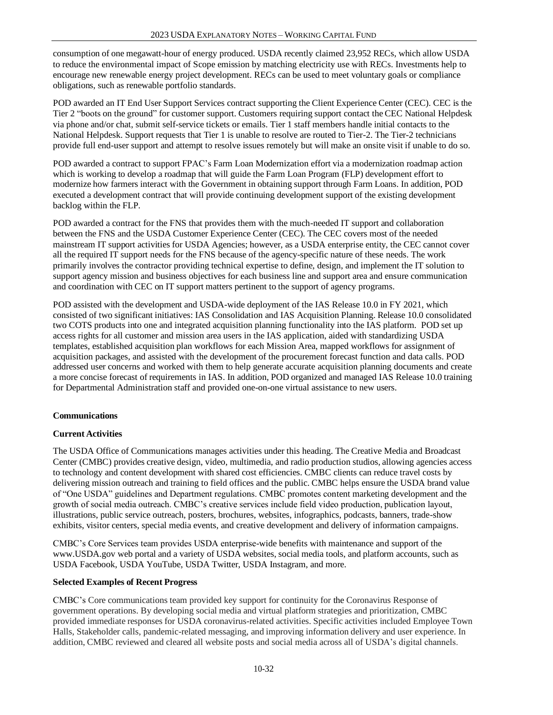consumption of one megawatt-hour of energy produced. USDA recently claimed 23,952 RECs, which allow USDA to reduce the environmental impact of Scope emission by matching electricity use with RECs. Investments help to encourage new renewable energy project development. RECs can be used to meet voluntary goals or compliance obligations, such as renewable portfolio standards.

POD awarded an IT End User Support Services contract supporting the Client Experience Center (CEC). CEC is the Tier 2 "boots on the ground" for customer support. Customers requiring support contact theCEC National Helpdesk via phone and/or chat, submit self-service tickets or emails. Tier 1 staff members handle initial contacts to the National Helpdesk. Support requests that Tier 1 is unable to resolve are routed to Tier-2. The Tier-2 technicians provide full end-user support and attempt to resolve issues remotely but will make an onsite visit if unable to do so.

POD awarded a contract to support FPAC's Farm Loan Modernization effort via a modernization roadmap action which is working to develop a roadmap that will guide the Farm Loan Program (FLP) development effort to modernize how farmers interact with the Government in obtaining support through Farm Loans. In addition, POD executed a development contract that will provide continuing development support of the existing development backlog within the FLP.

POD awarded a contract for the FNS that provides them with the much-needed IT support and collaboration between the FNS and the USDA Customer Experience Center (CEC). The CEC covers most of the needed mainstream IT support activities for USDA Agencies; however, as a USDA enterprise entity, the CEC cannot cover all the required IT support needs for the FNS because of the agency-specific nature of these needs. The work primarily involves the contractor providing technical expertise to define, design, and implement the IT solution to support agency mission and business objectives for each business line and support area and ensure communication and coordination with CEC on IT support matters pertinent to the support of agency programs.

POD assisted with the development and USDA-wide deployment of the IAS Release 10.0 in FY 2021, which consisted of two significant initiatives: IAS Consolidation and IAS Acquisition Planning. Release 10.0 consolidated two COTS products into one and integrated acquisition planning functionality into the IAS platform. POD set up access rights for all customer and mission area users in the IAS application, aided with standardizing USDA templates, established acquisition plan workflows for each Mission Area, mapped workflows for assignment of acquisition packages, and assisted with the development of the procurement forecast function and data calls. POD addressed user concerns and worked with them to help generate accurate acquisition planning documents and create a more concise forecast of requirements in IAS. In addition, POD organized and managed IAS Release 10.0 training for Departmental Administration staff and provided one-on-one virtual assistance to new users.

# **Communications**

#### **Current Activities**

The USDA Office of Communications manages activities under this heading. The Creative Media and Broadcast Center (CMBC) provides creative design, video, multimedia, and radio production studios, allowing agencies access to technology and content development with shared cost efficiencies. CMBC clients can reduce travel costs by delivering mission outreach and training to field offices and the public. CMBC helps ensure the USDA brand value of "One USDA" guidelines and Department regulations. CMBC promotes content marketing development and the growth of social media outreach. CMBC's creative services include field video production, publication layout, illustrations, public service outreach, posters, brochures, websites, infographics, podcasts, banners, trade-show exhibits, visitor centers, special media events, and creative development and delivery of information campaigns.

CMBC's Core Services team provides USDA enterprise-wide benefits with maintenance and support of the [www.USDA.gov](http://www.usda.gov/) web portal and a variety of USDA websites, social media tools, and platform accounts, such as USDA Facebook, USDA YouTube, USDA Twitter, USDA Instagram, and more.

### **Selected Examples of Recent Progress**

CMBC's Core communications team provided key support for continuity for the Coronavirus Response of government operations. By developing social media and virtual platform strategies and prioritization, CMBC provided immediate responses for USDA coronavirus-related activities. Specific activities included Employee Town Halls, Stakeholder calls, pandemic-related messaging, and improving information delivery and user experience. In addition, CMBC reviewed and cleared all website posts and social media across all of USDA's digital channels.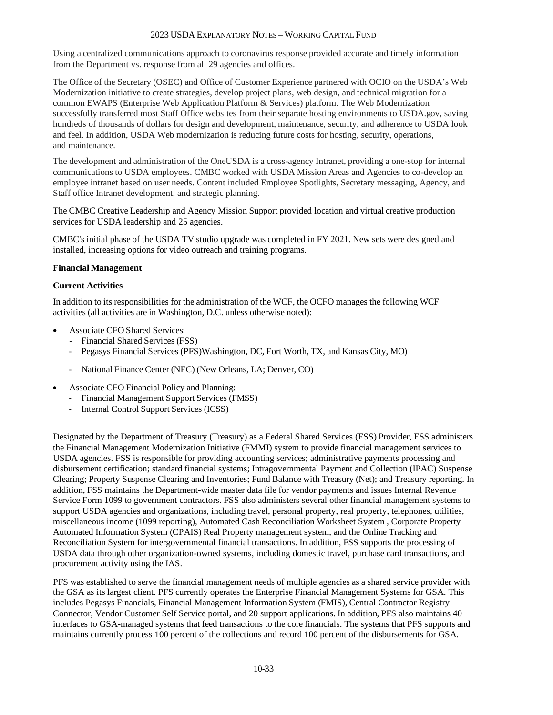Using a centralized communications approach to coronavirus response provided accurate and timely information from the Department vs. response from all 29 agencies and offices.

The Office of the Secretary (OSEC) and Office of Customer Experience partnered with OCIO on the USDA's Web Modernization initiative to create strategies, develop project plans, web design, and technical migration for a common EWAPS (Enterprise Web Application Platform & Services) platform. The Web Modernization successfully transferred most Staff Office websites from their separate hosting environments to USDA.gov, saving hundreds of thousands of dollars for design and development, maintenance, security, and adherence to USDA look and feel. In addition, USDA Web modernization is reducing future costs for hosting, security, operations, and maintenance.

The development and administration of the OneUSDA is a cross-agency Intranet, providing a one-stop for internal communications to USDA employees. CMBC worked with USDA Mission Areas and Agencies to co-develop an employee intranet based on user needs. Content included Employee Spotlights, Secretary messaging, Agency, and Staff office Intranet development, and strategic planning.

The CMBC Creative Leadership and Agency Mission Support provided location and virtual creative production services for USDA leadership and 25 agencies.

CMBC's initial phase of the USDA TV studio upgrade was completed in FY 2021. New sets were designed and installed, increasing options for video outreach and training programs.

#### **Financial Management**

#### **Current Activities**

In addition to its responsibilities for the administration of the WCF, the OCFO manages the following WCF activities (all activities are in Washington, D.C. unless otherwise noted):

- Associate CFO Shared Services:
	- Financial Shared Services (FSS)
	- Pegasys Financial Services (PFS)Washington, DC, Fort Worth, TX, and Kansas City, MO)
	- National Finance Center (NFC) (New Orleans, LA; Denver, CO)
- Associate CFO Financial Policy and Planning:
	- Financial Management Support Services (FMSS)
	- Internal Control Support Services (ICSS)

Designated by the Department of Treasury (Treasury) as a Federal Shared Services (FSS) Provider, FSS administers the Financial Management Modernization Initiative (FMMI) system to provide financial management services to USDA agencies. FSS is responsible for providing accounting services; administrative payments processing and disbursement certification; standard financial systems; Intragovernmental Payment and Collection (IPAC) Suspense Clearing; Property Suspense Clearing and Inventories; Fund Balance with Treasury (Net); and Treasury reporting. In addition, FSS maintains the Department-wide master data file for vendor payments and issues Internal Revenue Service Form 1099 to government contractors. FSS also administers several other financial management systems to support USDA agencies and organizations, including travel, personal property, real property, telephones, utilities, miscellaneous income (1099 reporting), Automated Cash Reconciliation Worksheet System , Corporate Property Automated Information System (CPAIS) Real Property management system, and the Online Tracking and Reconciliation System for intergovernmental financial transactions. In addition, FSS supports the processing of USDA data through other organization-owned systems, including domestic travel, purchase card transactions, and procurement activity using the IAS.

PFS was established to serve the financial management needs of multiple agencies as a shared service provider with the GSA as its largest client. PFS currently operates the Enterprise Financial Management Systems for GSA. This includes Pegasys Financials, Financial Management Information System (FMIS), Central Contractor Registry Connector, Vendor Customer Self Service portal, and 20 support applications. In addition, PFS also maintains 40 interfaces to GSA-managed systems that feed transactions to the core financials. The systems that PFS supports and maintains currently process 100 percent of the collections and record 100 percent of the disbursements for GSA.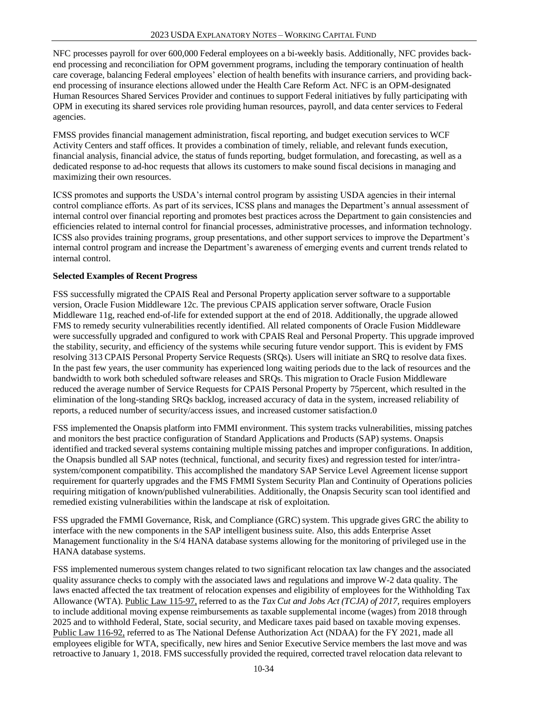NFC processes payroll for over 600,000 Federal employees on a bi-weekly basis. Additionally, NFC provides backend processing and reconciliation for OPM government programs, including the temporary continuation of health care coverage, balancing Federal employees' election of health benefits with insurance carriers, and providing backend processing of insurance elections allowed under the Health Care Reform Act. NFC is an OPM-designated Human Resources Shared Services Provider and continues to support Federal initiatives by fully participating with OPM in executing its shared services role providing human resources, payroll, and data center services to Federal agencies.

FMSS provides financial management administration, fiscal reporting, and budget execution services to WCF Activity Centers and staff offices. It provides a combination of timely, reliable, and relevant funds execution, financial analysis, financial advice, the status of funds reporting, budget formulation, and forecasting, as well as a dedicated response to ad-hoc requests that allows its customers to make sound fiscal decisions in managing and maximizing their own resources.

ICSS promotes and supports the USDA's internal control program by assisting USDA agencies in their internal control compliance efforts. As part of its services, ICSS plans and manages the Department's annual assessment of internal control over financial reporting and promotes best practices across the Department to gain consistencies and efficiencies related to internal control for financial processes, administrative processes, and information technology. ICSS also provides training programs, group presentations, and other support services to improve the Department's internal control program and increase the Department's awareness of emerging events and current trends related to internal control.

## **Selected Examples of Recent Progress**

FSS successfully migrated the CPAIS Real and Personal Property application server software to a supportable version, Oracle Fusion Middleware 12c. The previous CPAIS application server software, Oracle Fusion Middleware 11g, reached end-of-life for extended support at the end of 2018. Additionally, the upgrade allowed FMS to remedy security vulnerabilities recently identified. All related components of Oracle Fusion Middleware were successfully upgraded and configured to work with CPAIS Real and Personal Property. This upgrade improved the stability, security, and efficiency of the systems while securing future vendor support. This is evident by FMS resolving 313 CPAIS Personal Property Service Requests (SRQs). Users will initiate an SRQ to resolve data fixes. In the past few years, the user community has experienced long waiting periods due to the lack of resources and the bandwidth to work both scheduled software releases and SRQs. This migration to Oracle Fusion Middleware reduced the average number of Service Requests for CPAIS Personal Property by 75percent, which resulted in the elimination of the long-standing SRQs backlog, increased accuracy of data in the system, increased reliability of reports, a reduced number of security/access issues, and increased customer satisfaction.0

FSS implemented the Onapsis platform into FMMI environment. This system tracks vulnerabilities, missing patches and monitors the best practice configuration of Standard Applications and Products (SAP) systems. Onapsis identified and tracked several systems containing multiple missing patches and improper configurations. In addition, the Onapsis bundled all SAP notes (technical, functional, and security fixes) and regression tested for inter/intrasystem/component compatibility. This accomplished the mandatory SAP Service Level Agreement license support requirement for quarterly upgrades and the FMS FMMI System Security Plan and Continuity of Operations policies requiring mitigation of known/published vulnerabilities. Additionally, the Onapsis Security scan tool identified and remedied existing vulnerabilities within the landscape at risk of exploitation.

FSS upgraded the FMMI Governance, Risk, and Compliance (GRC) system. This upgrade gives GRC the ability to interface with the new components in the SAP intelligent business suite. Also, this adds Enterprise Asset Management functionality in the S/4 HANA database systems allowing for the monitoring of privileged use in the HANA database systems.

FSS implemented numerous system changes related to two significant relocation tax law changes and the associated quality assurance checks to comply with the associated laws and regulations and improve W-2 data quality. The laws enacted affected the tax treatment of relocation expenses and eligibility of employees for the Withholding Tax Allowance (WTA). Public Law 115-97, referred to as the *Tax Cut and Jobs Act (TCJA) of 2017,* requires employers to include additional moving expense reimbursements as taxable supplemental income (wages) from 2018 through 2025 and to withhold Federal, State, social security, and Medicare taxes paid based on taxable moving expenses. Public Law 116-92, referred to as The National Defense Authorization Act (NDAA) for the FY 2021, made all employees eligible for WTA, specifically, new hires and Senior Executive Service members the last move and was retroactive to January 1, 2018. FMS successfully provided the required, corrected travel relocation data relevant to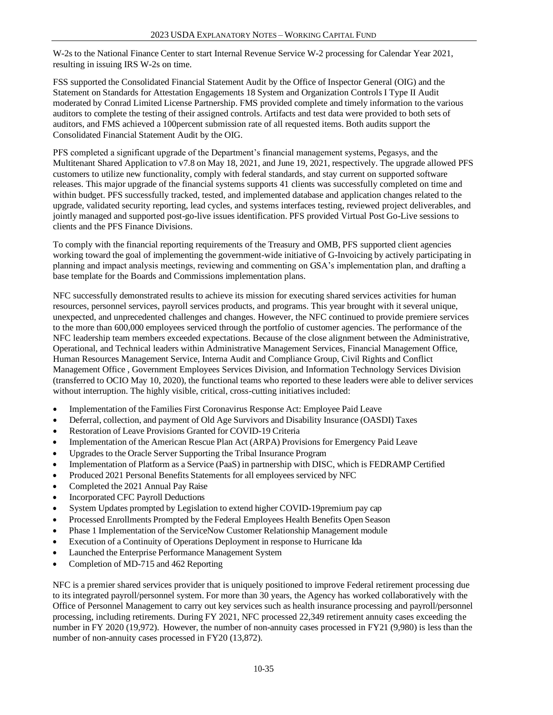W-2s to the National Finance Center to start Internal Revenue Service W-2 processing for Calendar Year 2021, resulting in issuing IRS W-2s on time.

FSS supported the Consolidated Financial Statement Audit by the Office of Inspector General (OIG) and the Statement on Standards for Attestation Engagements 18 System and Organization Controls I Type II Audit moderated by Conrad Limited License Partnership. FMS provided complete and timely information to the various auditors to complete the testing of their assigned controls. Artifacts and test data were provided to both sets of auditors, and FMS achieved a 100percent submission rate of all requested items. Both audits support the Consolidated Financial Statement Audit by the OIG.

PFS completed a significant upgrade of the Department's financial management systems, Pegasys, and the Multitenant Shared Application to v7.8 on May 18, 2021, and June 19, 2021, respectively. The upgrade allowed PFS customers to utilize new functionality, comply with federal standards, and stay current on supported software releases. This major upgrade of the financial systems supports 41 clients was successfully completed on time and within budget. PFS successfully tracked, tested, and implemented database and application changes related to the upgrade, validated security reporting, lead cycles, and systems interfaces testing, reviewed project deliverables, and jointly managed and supported post-go-live issues identification. PFS provided Virtual Post Go-Live sessions to clients and the PFS Finance Divisions.

To comply with the financial reporting requirements of the Treasury and OMB, PFS supported client agencies working toward the goal of implementing the government-wide initiative of G-Invoicing by actively participating in planning and impact analysis meetings, reviewing and commenting on GSA's implementation plan, and drafting a base template for the Boards and Commissions implementation plans.

NFC successfully demonstrated results to achieve its mission for executing shared services activities for human resources, personnel services, payroll services products, and programs. This year brought with it several unique, unexpected, and unprecedented challenges and changes. However, the NFC continued to provide premiere services to the more than 600,000 employees serviced through the portfolio of customer agencies. The performance of the NFC leadership team members exceeded expectations. Because of the close alignment between the Administrative, Operational, and Technical leaders within Administrative Management Services, Financial Management Office, Human Resources Management Service, Interna Audit and Compliance Group, Civil Rights and Conflict Management Office , Government Employees Services Division, and Information Technology Services Division (transferred to OCIO May 10, 2020), the functional teams who reported to these leaders were able to deliver services without interruption. The highly visible, critical, cross-cutting initiatives included:

- Implementation of the Families First Coronavirus Response Act: Employee Paid Leave
- Deferral, collection, and payment of Old Age Survivors and Disability Insurance (OASDI) Taxes
- Restoration of Leave Provisions Granted for COVID-19 Criteria
- Implementation of the American Rescue Plan Act (ARPA) Provisions for Emergency Paid Leave
- Upgrades to the Oracle Server Supporting the Tribal Insurance Program
- Implementation of Platform as a Service (PaaS) in partnership with DISC, which is FEDRAMP Certified
- Produced 2021 Personal Benefits Statements for all employees serviced by NFC
- Completed the 2021 Annual Pay Raise
- Incorporated CFC Payroll Deductions
- System Updates prompted by Legislation to extend higher COVID-19premium pay cap
- Processed Enrollments Prompted by the Federal Employees Health Benefits Open Season
- Phase 1 Implementation of the ServiceNow Customer Relationship Management module
- Execution of a Continuity of Operations Deployment in response to Hurricane Ida
- Launched the Enterprise Performance Management System
- Completion of MD-715 and 462 Reporting

NFC is a premier shared services provider that is uniquely positioned to improve Federal retirement processing due to its integrated payroll/personnel system. For more than 30 years, the Agency has worked collaboratively with the Office of Personnel Management to carry out key services such as health insurance processing and payroll/personnel processing, including retirements. During FY 2021, NFC processed 22,349 retirement annuity cases exceeding the number in FY 2020 (19,972). However, the number of non-annuity cases processed in FY21 (9,980) is less than the number of non-annuity cases processed in FY20 (13,872).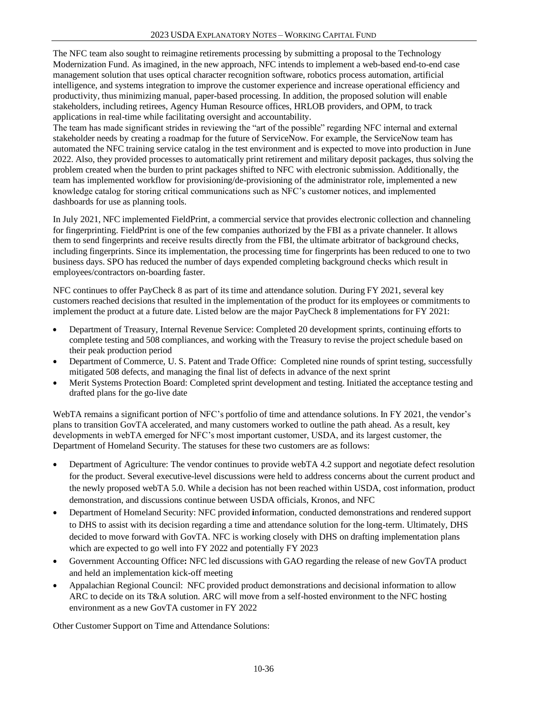The NFC team also sought to reimagine retirements processing by submitting a proposal to the Technology Modernization Fund. As imagined, in the new approach, NFC intends to implement a web-based end-to-end case management solution that uses optical character recognition software, robotics process automation, artificial intelligence, and systems integration to improve the customer experience and increase operational efficiency and productivity, thus minimizing manual, paper-based processing. In addition, the proposed solution will enable stakeholders, including retirees, Agency Human Resource offices, HRLOB providers, and OPM, to track applications in real-time while facilitating oversight and accountability.

The team has made significant strides in reviewing the "art of the possible" regarding NFC internal and external stakeholder needs by creating a roadmap for the future of ServiceNow. For example, the ServiceNow team has automated the NFC training service catalog in the test environment and is expected to move into production in June 2022. Also, they provided processes to automatically print retirement and military deposit packages, thus solving the problem created when the burden to print packages shifted to NFC with electronic submission. Additionally, the team has implemented workflow for provisioning/de-provisioning of the administrator role, implemented a new knowledge catalog for storing critical communications such as NFC's customer notices, and implemented dashboards for use as planning tools.

In July 2021, NFC implemented FieldPrint, a commercial service that provides electronic collection and channeling for fingerprinting. FieldPrint is one of the few companies authorized by the FBI as a private channeler. It allows them to send fingerprints and receive results directly from the FBI, the ultimate arbitrator of background checks, including fingerprints. Since its implementation, the processing time for fingerprints has been reduced to one to two business days. SPO has reduced the number of days expended completing background checks which result in employees/contractors on-boarding faster.

NFC continues to offer PayCheck 8 as part of its time and attendance solution. During FY 2021, several key customers reached decisions that resulted in the implementation of the product for its employees or commitments to implement the product at a future date. Listed below are the major PayCheck 8 implementations for FY 2021:

- Department of Treasury, Internal Revenue Service: Completed 20 development sprints, continuing efforts to complete testing and 508 compliances, and working with the Treasury to revise the project schedule based on their peak production period
- Department of Commerce, U. S. Patent and Trade Office: Completed nine rounds of sprint testing, successfully mitigated 508 defects, and managing the final list of defects in advance of the next sprint
- Merit Systems Protection Board: Completed sprint development and testing. Initiated the acceptance testing and drafted plans for the go-live date

WebTA remains a significant portion of NFC's portfolio of time and attendance solutions. In FY 2021, the vendor's plans to transition GovTA accelerated, and many customers worked to outline the path ahead. As a result, key developments in webTA emerged for NFC's most important customer, USDA, and its largest customer, the Department of Homeland Security. The statuses for these two customers are as follows:

- Department of Agriculture: The vendor continues to provide webTA 4.2 support and negotiate defect resolution for the product. Several executive-level discussions were held to address concerns about the current product and the newly proposed webTA 5.0. While a decision has not been reached within USDA, cost information, product demonstration, and discussions continue between USDA officials, Kronos, and NFC
- Department of Homeland Security: NFC provided **i**nformation, conducted demonstrations and rendered support to DHS to assist with its decision regarding a time and attendance solution for the long-term. Ultimately, DHS decided to move forward with GovTA. NFC is working closely with DHS on drafting implementation plans which are expected to go well into FY 2022 and potentially FY 2023
- Government Accounting Office**:** NFC led discussions with GAO regarding the release of new GovTA product and held an implementation kick-off meeting
- Appalachian Regional Council: NFC provided product demonstrations and decisional information to allow ARC to decide on its T&A solution. ARC will move from a self-hosted environment to the NFC hosting environment as a new GovTA customer in FY 2022

Other Customer Support on Time and Attendance Solutions: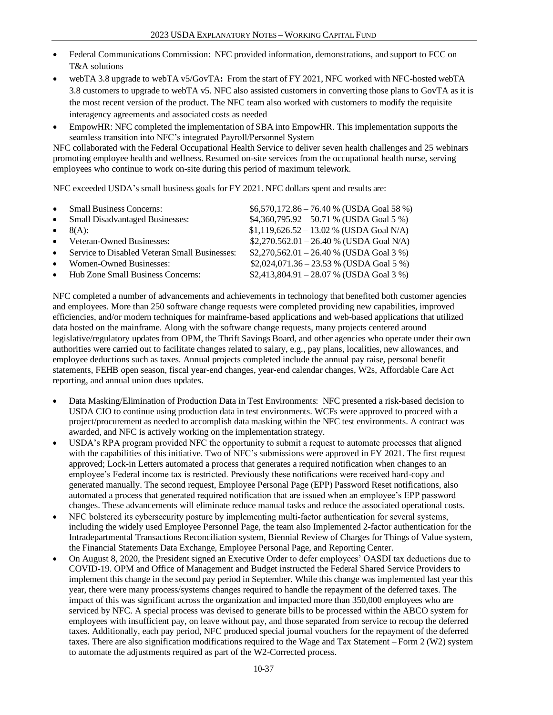- Federal Communications Commission: NFC provided information, demonstrations, and support to FCC on T&A solutions
- webTA 3.8 upgrade to webTA v5/GovTA**:** From the start of FY 2021, NFC worked with NFC-hosted webTA 3.8 customers to upgrade to webTA v5. NFC also assisted customers in converting those plans to GovTA as it is the most recent version of the product. The NFC team also worked with customers to modify the requisite interagency agreements and associated costs as needed
- EmpowHR: NFC completed the implementation of SBA into EmpowHR. This implementation supports the seamless transition into NFC's integrated Payroll/Personnel System

NFC collaborated with the Federal Occupational Health Service to deliver seven health challenges and 25 webinars promoting employee health and wellness. Resumed on-site services from the occupational health nurse, serving employees who continue to work on-site during this period of maximum telework.

NFC exceeded USDA's small business goals for FY 2021. NFC dollars spent and results are:

| $\bullet$ | <b>Small Business Concerns:</b>               | $$6,570,172.86 - 76.40 \%$ (USDA Goal 58 %) |
|-----------|-----------------------------------------------|---------------------------------------------|
| $\bullet$ | <b>Small Disadvantaged Businesses:</b>        | $$4,360,795.92 - 50.71$ % (USDA Goal 5 %)   |
| $\bullet$ | 8(A):                                         | $$1,119,626.52 - 13.02 %$ (USDA Goal N/A)   |
|           | • Veteran-Owned Businesses:                   | $$2,270.562.01 - 26.40 %$ (USDA Goal N/A)   |
| $\bullet$ | Service to Disabled Veteran Small Businesses: | $$2,270,562.01 - 26.40 %$ (USDA Goal 3 %)   |
| $\bullet$ | Women-Owned Businesses:                       | $$2,024,071.36 - 23.53 %$ (USDA Goal 5 %)   |
|           | • Hub Zone Small Business Concerns:           | $$2,413,804.91 - 28.07\%$ (USDA Goal 3 %)   |

NFC completed a number of advancements and achievements in technology that benefited both customer agencies and employees. More than 250 software change requests were completed providing new capabilities, improved efficiencies, and/or modern techniques for mainframe-based applications and web-based applications that utilized data hosted on the mainframe. Along with the software change requests, many projects centered around legislative/regulatory updates from OPM, the Thrift Savings Board, and other agencies who operate under their own authorities were carried out to facilitate changes related to salary, e.g., pay plans, localities, new allowances, and employee deductions such as taxes. Annual projects completed include the annual pay raise, personal benefit statements, FEHB open season, fiscal year-end changes, year-end calendar changes, W2s, Affordable Care Act reporting, and annual union dues updates.

- Data Masking/Elimination of Production Data in Test Environments: NFC presented a risk-based decision to USDA CIO to continue using production data in test environments. WCFs were approved to proceed with a project/procurement as needed to accomplish data masking within the NFC test environments. A contract was awarded, and NFC is actively working on the implementation strategy.
- USDA's RPA program provided NFC the opportunity to submit a request to automate processes that aligned with the capabilities of this initiative. Two of NFC's submissions were approved in FY 2021. The first request approved; Lock-in Letters automated a process that generates a required notification when changes to an employee's Federal income tax is restricted. Previously these notifications were received hard-copy and generated manually. The second request, Employee Personal Page (EPP) Password Reset notifications, also automated a process that generated required notification that are issued when an employee's EPP password changes. These advancements will eliminate reduce manual tasks and reduce the associated operational costs.
- NFC bolstered its cybersecurity posture by implementing multi-factor authentication for several systems, including the widely used Employee Personnel Page, the team also Implemented 2-factor authentication for the Intradepartmental Transactions Reconciliation system, Biennial Review of Charges for Things of Value system, the Financial Statements Data Exchange, Employee Personal Page, and Reporting Center.
- On August 8, 2020, the President signed an Executive Order to defer employees' OASDI tax deductions due to COVID-19. OPM and Office of Management and Budget instructed the Federal Shared Service Providers to implement this change in the second pay period in September. While this change was implemented last year this year, there were many process/systems changes required to handle the repayment of the deferred taxes. The impact of this was significant across the organization and impacted more than 350,000 employees who are serviced by NFC. A special process was devised to generate bills to be processed within the ABCO system for employees with insufficient pay, on leave without pay, and those separated from service to recoup the deferred taxes. Additionally, each pay period, NFC produced special journal vouchers for the repayment of the deferred taxes. There are also signification modifications required to the Wage and Tax Statement – Form 2 (W2) system to automate the adjustments required as part of the W2-Corrected process.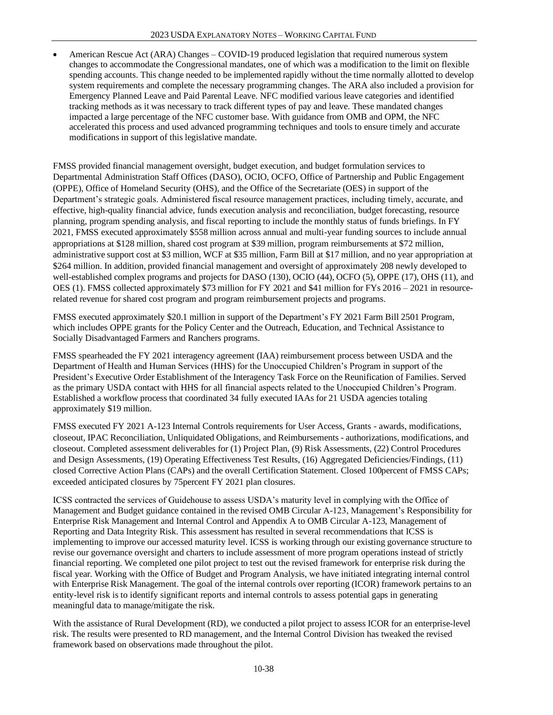• American Rescue Act (ARA) Changes – COVID-19 produced legislation that required numerous system changes to accommodate the Congressional mandates, one of which was a modification to the limit on flexible spending accounts. This change needed to be implemented rapidly without the time normally allotted to develop system requirements and complete the necessary programming changes. The ARA also included a provision for Emergency Planned Leave and Paid Parental Leave. NFC modified various leave categories and identified tracking methods as it was necessary to track different types of pay and leave. These mandated changes impacted a large percentage of the NFC customer base. With guidance from OMB and OPM, the NFC accelerated this process and used advanced programming techniques and tools to ensure timely and accurate modifications in support of this legislative mandate.

FMSS provided financial management oversight, budget execution, and budget formulation services to Departmental Administration Staff Offices (DASO), OCIO, OCFO, Office of Partnership and Public Engagement (OPPE), Office of Homeland Security (OHS), and the Office of the Secretariate (OES) in support of the Department's strategic goals. Administered fiscal resource management practices, including timely, accurate, and effective, high-quality financial advice, funds execution analysis and reconciliation, budget forecasting, resource planning, program spending analysis, and fiscal reporting to include the monthly status of funds briefings. In FY 2021, FMSS executed approximately \$558 million across annual and multi-year funding sources to include annual appropriations at \$128 million, shared cost program at \$39 million, program reimbursements at \$72 million, administrative support cost at \$3 million, WCF at \$35 million, Farm Bill at \$17 million, and no year appropriation at \$264 million. In addition, provided financial management and oversight of approximately 208 newly developed to well-established complex programs and projects for DASO (130), OCIO (44), OCFO (5), OPPE (17), OHS (11), and OES (1). FMSS collected approximately \$73 million for FY 2021 and \$41 million for FYs 2016 – 2021 in resourcerelated revenue for shared cost program and program reimbursement projects and programs.

FMSS executed approximately \$20.1 million in support of the Department's FY 2021 Farm Bill 2501 Program, which includes OPPE grants for the Policy Center and the Outreach, Education, and Technical Assistance to Socially Disadvantaged Farmers and Ranchers programs.

FMSS spearheaded the FY 2021 interagency agreement (IAA) reimbursement process between USDA and the Department of Health and Human Services (HHS) for the Unoccupied Children's Program in support of the President's Executive Order Establishment of the Interagency Task Force on the Reunification of Families. Served as the primary USDA contact with HHS for all financial aspects related to the Unoccupied Children's Program. Established a workflow process that coordinated 34 fully executed IAAs for 21 USDA agencies totaling approximately \$19 million.

FMSS executed FY 2021 A-123 Internal Controls requirements for User Access, Grants - awards, modifications, closeout, IPAC Reconciliation, Unliquidated Obligations, and Reimbursements - authorizations, modifications, and closeout. Completed assessment deliverables for (1) Project Plan, (9) Risk Assessments, (22) Control Procedures and Design Assessments, (19) Operating Effectiveness Test Results, (16) Aggregated Deficiencies/Findings, (11) closed Corrective Action Plans (CAPs) and the overall Certification Statement. Closed 100percent of FMSS CAPs; exceeded anticipated closures by 75percent FY 2021 plan closures.

ICSS contracted the services of Guidehouse to assess USDA's maturity level in complying with the Office of Management and Budget guidance contained in the revised OMB Circular A-123, Management's Responsibility for Enterprise Risk Management and Internal Control and Appendix A to OMB Circular A-123, Management of Reporting and Data Integrity Risk. This assessment has resulted in several recommendations that ICSS is implementing to improve our accessed maturity level. ICSS is working through our existing governance structure to revise our governance oversight and charters to include assessment of more program operations instead of strictly financial reporting. We completed one pilot project to test out the revised framework for enterprise risk during the fiscal year. Working with the Office of Budget and Program Analysis, we have initiated integrating internal control with Enterprise Risk Management. The goal of the internal controls over reporting (ICOR) framework pertains to an entity-level risk is to identify significant reports and internal controls to assess potential gaps in generating meaningful data to manage/mitigate the risk.

With the assistance of Rural Development (RD), we conducted a pilot project to assess ICOR for an enterprise-level risk. The results were presented to RD management, and the Internal Control Division has tweaked the revised framework based on observations made throughout the pilot.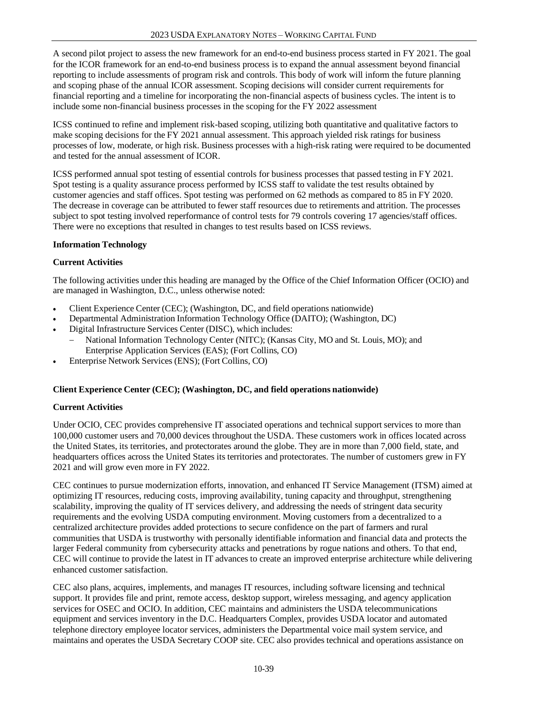A second pilot project to assess the new framework for an end-to-end business process started in FY 2021. The goal for the ICOR framework for an end-to-end business process is to expand the annual assessment beyond financial reporting to include assessments of program risk and controls. This body of work will inform the future planning and scoping phase of the annual ICOR assessment. Scoping decisions will consider current requirements for financial reporting and a timeline for incorporating the non-financial aspects of business cycles. The intent is to include some non-financial business processes in the scoping for the FY 2022 assessment

ICSS continued to refine and implement risk-based scoping, utilizing both quantitative and qualitative factors to make scoping decisions for the FY 2021 annual assessment. This approach yielded risk ratings for business processes of low, moderate, or high risk. Business processes with a high-risk rating were required to be documented and tested for the annual assessment of ICOR.

ICSS performed annual spot testing of essential controls for business processes that passed testing in FY 2021. Spot testing is a quality assurance process performed by ICSS staff to validate the test results obtained by customer agencies and staff offices. Spot testing was performed on 62 methods as compared to 85 in FY 2020. The decrease in coverage can be attributed to fewer staff resources due to retirements and attrition. The processes subject to spot testing involved reperformance of control tests for 79 controls covering 17 agencies/staff offices. There were no exceptions that resulted in changes to test results based on ICSS reviews.

# **Information Technology**

## **Current Activities**

The following activities under this heading are managed by the Office of the Chief Information Officer (OCIO) and are managed in Washington, D.C., unless otherwise noted:

- Client Experience Center (CEC); (Washington, DC, and field operations nationwide)
- Departmental Administration Information Technology Office (DAITO); (Washington, DC)
- Digital Infrastructure Services Center (DISC), which includes:
	- − National Information Technology Center (NITC); (Kansas City, MO and St. Louis, MO); and Enterprise Application Services (EAS); (Fort Collins, CO)
- Enterprise Network Services (ENS); (Fort Collins, CO)

#### **Client Experience Center (CEC); (Washington, DC, and field operations nationwide)**

# **Current Activities**

Under OCIO, CEC provides comprehensive IT associated operations and technical support services to more than 100,000 customer users and 70,000 devices throughout the USDA. These customers work in offices located across the United States, its territories, and protectorates around the globe. They are in more than 7,000 field, state, and headquarters offices across the United States its territories and protectorates. The number of customers grew in FY 2021 and will grow even more in FY 2022.

CEC continues to pursue modernization efforts, innovation, and enhanced IT Service Management (ITSM) aimed at optimizing IT resources, reducing costs, improving availability, tuning capacity and throughput, strengthening scalability, improving the quality of IT services delivery, and addressing the needs of stringent data security requirements and the evolving USDA computing environment. Moving customers from a decentralized to a centralized architecture provides added protections to secure confidence on the part of farmers and rural communities that USDA is trustworthy with personally identifiable information and financial data and protects the larger Federal community from cybersecurity attacks and penetrations by rogue nations and others. To that end, CEC will continue to provide the latest in IT advances to create an improved enterprise architecture while delivering enhanced customer satisfaction.

CEC also plans, acquires, implements, and manages IT resources, including software licensing and technical support. It provides file and print, remote access, desktop support, wireless messaging, and agency application services for OSEC and OCIO. In addition, CEC maintains and administers the USDA telecommunications equipment and services inventory in the D.C. Headquarters Complex, provides USDA locator and automated telephone directory employee locator services, administers the Departmental voice mail system service, and maintains and operates the USDA Secretary COOP site. CEC also provides technical and operations assistance on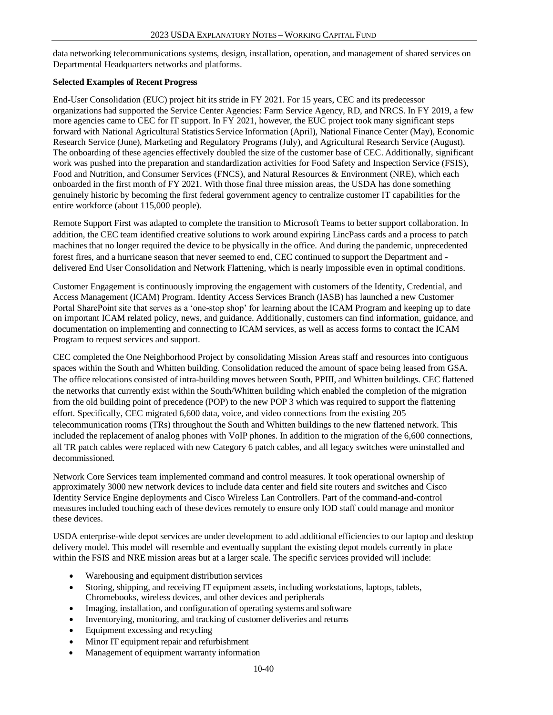data networking telecommunications systems, design, installation, operation, and management of shared services on Departmental Headquarters networks and platforms.

## **Selected Examples of Recent Progress**

End-User Consolidation (EUC) project hit its stride in FY 2021. For 15 years, CEC and its predecessor organizations had supported the Service Center Agencies: Farm Service Agency, RD, and NRCS. In FY 2019, a few more agencies came to CEC for IT support. In FY 2021, however, the EUC project took many significant steps forward with National Agricultural Statistics Service Information (April), National Finance Center (May), Economic Research Service (June), Marketing and Regulatory Programs (July), and Agricultural Research Service (August). The onboarding of these agencies effectively doubled the size of the customer base of CEC. Additionally, significant work was pushed into the preparation and standardization activities for Food Safety and Inspection Service (FSIS), Food and Nutrition, and Consumer Services (FNCS), and Natural Resources & Environment (NRE), which each onboarded in the first month of FY 2021. With those final three mission areas, the USDA has done something genuinely historic by becoming the first federal government agency to centralize customer IT capabilities for the entire workforce (about 115,000 people).

Remote Support First was adapted to complete the transition to Microsoft Teams to better support collaboration. In addition, the CEC team identified creative solutions to work around expiring LincPass cards and a process to patch machines that no longer required the device to be physically in the office. And during the pandemic, unprecedented forest fires, and a hurricane season that never seemed to end, CEC continued to support the Department and delivered End User Consolidation and Network Flattening, which is nearly impossible even in optimal conditions.

Customer Engagement is continuously improving the engagement with customers of the Identity, Credential, and Access Management (ICAM) Program. Identity Access Services Branch (IASB) has launched a new Customer Portal SharePoint site that serves as a 'one-stop shop' for learning about the ICAM Program and keeping up to date on important ICAM related policy, news, and guidance. Additionally, customers can find information, guidance, and documentation on implementing and connecting to ICAM services, as well as access forms to contact the ICAM Program to request services and support.

CEC completed the One Neighborhood Project by consolidating Mission Areas staff and resources into contiguous spaces within the South and Whitten building. Consolidation reduced the amount of space being leased from GSA. The office relocations consisted of intra-building moves between South, PPIII, and Whitten buildings. CEC flattened the networks that currently exist within the South/Whitten building which enabled the completion of the migration from the old building point of precedence (POP) to the new POP 3 which was required to support the flattening effort. Specifically, CEC migrated 6,600 data, voice, and video connections from the existing 205 telecommunication rooms (TRs) throughout the South and Whitten buildings to the new flattened network. This included the replacement of analog phones with VoIP phones. In addition to the migration of the 6,600 connections, all TR patch cables were replaced with new Category 6 patch cables, and all legacy switches were uninstalled and decommissioned.

Network Core Services team implemented command and control measures. It took operational ownership of approximately 3000 new network devices to include data center and field site routers and switches and Cisco Identity Service Engine deployments and Cisco Wireless Lan Controllers. Part of the command-and-control measures included touching each of these devices remotely to ensure only IOD staff could manage and monitor these devices.

USDA enterprise-wide depot services are under development to add additional efficiencies to our laptop and desktop delivery model. This model will resemble and eventually supplant the existing depot models currently in place within the FSIS and NRE mission areas but at a larger scale. The specific services provided will include:

- Warehousing and equipment distribution services
- Storing, shipping, and receiving IT equipment assets, including workstations, laptops, tablets, Chromebooks, wireless devices, and other devices and peripherals
- Imaging, installation, and configuration of operating systems and software
- Inventorying, monitoring, and tracking of customer deliveries and returns
- Equipment excessing and recycling
- Minor IT equipment repair and refurbishment
- Management of equipment warranty information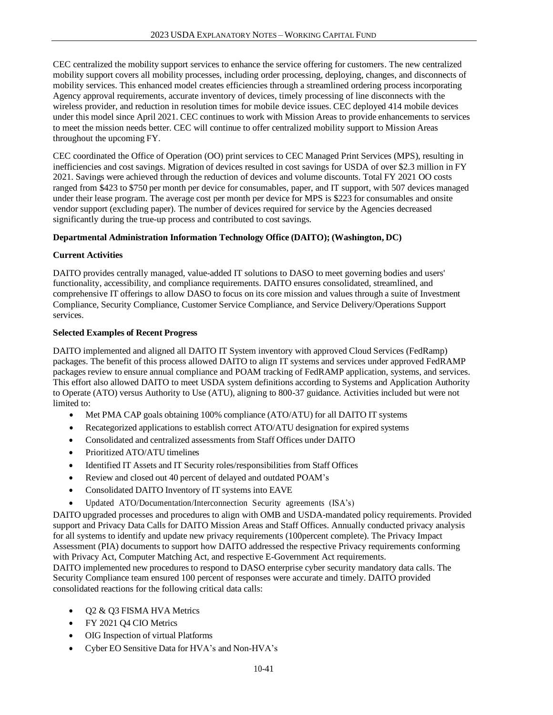CEC centralized the mobility support services to enhance the service offering for customers. The new centralized mobility support covers all mobility processes, including order processing, deploying, changes, and disconnects of mobility services. This enhanced model creates efficiencies through a streamlined ordering process incorporating Agency approval requirements, accurate inventory of devices, timely processing of line disconnects with the wireless provider, and reduction in resolution times for mobile device issues. CEC deployed 414 mobile devices under this model since April 2021. CEC continues to work with Mission Areas to provide enhancements to services to meet the mission needs better. CEC will continue to offer centralized mobility support to Mission Areas throughout the upcoming FY.

CEC coordinated the Office of Operation (OO) print services to CEC Managed Print Services (MPS), resulting in inefficiencies and cost savings. Migration of devices resulted in cost savings for USDA of over \$2.3 million in FY 2021. Savings were achieved through the reduction of devices and volume discounts. Total FY 2021 OO costs ranged from \$423 to \$750 per month per device for consumables, paper, and IT support, with 507 devices managed under their lease program. The average cost per month per device for MPS is \$223 for consumables and onsite vendor support (excluding paper). The number of devices required for service by the Agencies decreased significantly during the true-up process and contributed to cost savings.

## **Departmental Administration Information Technology Office (DAITO); (Washington, DC)**

## **Current Activities**

DAITO provides centrally managed, value-added IT solutions to DASO to meet governing bodies and users' functionality, accessibility, and compliance requirements. DAITO ensures consolidated, streamlined, and comprehensive IT offerings to allow DASO to focus on its core mission and values through a suite of Investment Compliance, Security Compliance, Customer Service Compliance, and Service Delivery/Operations Support services.

## **Selected Examples of Recent Progress**

DAITO implemented and aligned all DAITO IT System inventory with approved Cloud Services (FedRamp) packages. The benefit of this process allowed DAITO to align IT systems and services under approved FedRAMP packages review to ensure annual compliance and POAM tracking of FedRAMP application, systems, and services. This effort also allowed DAITO to meet USDA system definitions according to Systems and Application Authority to Operate (ATO) versus Authority to Use (ATU), aligning to 800-37 guidance. Activities included but were not limited to:

- Met PMA CAP goals obtaining 100% compliance (ATO/ATU) for all DAITO IT systems
- Recategorized applications to establish correct ATO/ATU designation for expired systems
- Consolidated and centralized assessments from Staff Offices under DAITO
- Prioritized ATO/ATU timelines
- Identified IT Assets and IT Security roles/responsibilities from Staff Offices
- Review and closed out 40 percent of delayed and outdated POAM's
- Consolidated DAITO Inventory of IT systems into EAVE
- Updated ATO/Documentation/Interconnection Security agreements (ISA's)

DAITO upgraded processes and procedures to align with OMB and USDA-mandated policy requirements. Provided support and Privacy Data Calls for DAITO Mission Areas and Staff Offices. Annually conducted privacy analysis for all systems to identify and update new privacy requirements (100percent complete). The Privacy Impact Assessment (PIA) documents to support how DAITO addressed the respective Privacy requirements conforming with Privacy Act, Computer Matching Act, and respective E-Government Act requirements.

DAITO implemented new procedures to respond to DASO enterprise cyber security mandatory data calls. The Security Compliance team ensured 100 percent of responses were accurate and timely. DAITO provided consolidated reactions for the following critical data calls:

- Q2 & Q3 FISMA HVA Metrics
- FY 2021 Q4 CIO Metrics
- OIG Inspection of virtual Platforms
- Cyber EO Sensitive Data for HVA's and Non-HVA's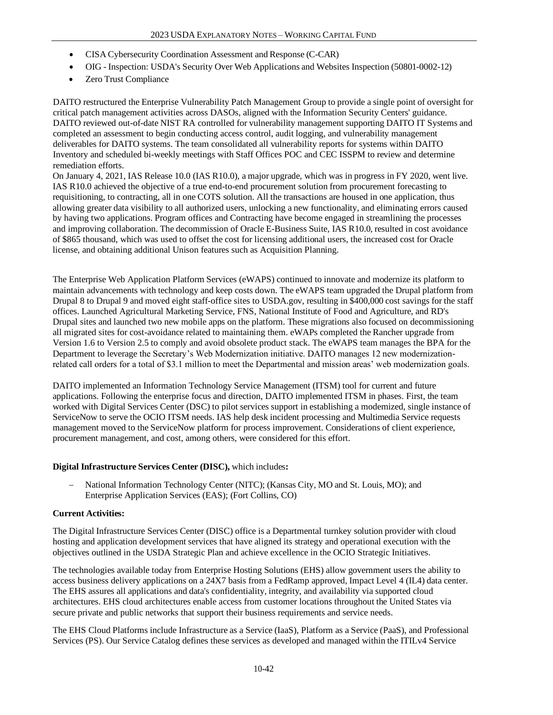- CISA Cybersecurity Coordination Assessment and Response (C-CAR)
- OIG Inspection: USDA's Security Over Web Applications and Websites Inspection (50801-0002-12)
- Zero Trust Compliance

DAITO restructured the Enterprise Vulnerability Patch Management Group to provide a single point of oversight for critical patch management activities across DASOs, aligned with the Information Security Centers' guidance. DAITO reviewed out-of-date NIST RA controlled for vulnerability management supporting DAITO IT Systems and completed an assessment to begin conducting access control, audit logging, and vulnerability management deliverables for DAITO systems. The team consolidated all vulnerability reports for systems within DAITO Inventory and scheduled bi-weekly meetings with Staff Offices POC and CEC ISSPM to review and determine remediation efforts.

On January 4, 2021, IAS Release 10.0 (IAS R10.0), a major upgrade, which was in progress in FY 2020, went live. IAS R10.0 achieved the objective of a true end-to-end procurement solution from procurement forecasting to requisitioning, to contracting, all in one COTS solution. All the transactions are housed in one application, thus allowing greater data visibility to all authorized users, unlocking a new functionality, and eliminating errors caused by having two applications. Program offices and Contracting have become engaged in streamlining the processes and improving collaboration. The decommission of Oracle E-Business Suite, IAS R10.0, resulted in cost avoidance of \$865 thousand, which was used to offset the cost for licensing additional users, the increased cost for Oracle license, and obtaining additional Unison features such as Acquisition Planning.

The Enterprise Web Application Platform Services (eWAPS) continued to innovate and modernize its platform to maintain advancements with technology and keep costs down. The eWAPS team upgraded the Drupal platform from Drupal 8 to Drupal 9 and moved eight staff-office sites to USDA.gov, resulting in \$400,000 cost savings for the staff offices. Launched Agricultural Marketing Service, FNS, National Institute of Food and Agriculture, and RD's Drupal sites and launched two new mobile apps on the platform. These migrations also focused on decommissioning all migrated sites for cost-avoidance related to maintaining them. eWAPs completed the Rancher upgrade from Version 1.6 to Version 2.5 to comply and avoid obsolete product stack. The eWAPS team manages the BPA for the Department to leverage the Secretary's Web Modernization initiative. DAITO manages 12 new modernizationrelated call orders for a total of \$3.1 million to meet the Departmental and mission areas' web modernization goals.

DAITO implemented an Information Technology Service Management (ITSM) tool for current and future applications. Following the enterprise focus and direction, DAITO implemented ITSM in phases. First, the team worked with Digital Services Center (DSC) to pilot services support in establishing a modernized, single instance of ServiceNow to serve the OCIO ITSM needs. IAS help desk incident processing and Multimedia Service requests management moved to the ServiceNow platform for process improvement. Considerations of client experience, procurement management, and cost, among others, were considered for this effort.

#### **Digital Infrastructure Services Center (DISC),** which includes**:**

− National Information Technology Center (NITC); (Kansas City, MO and St. Louis, MO); and Enterprise Application Services (EAS); (Fort Collins, CO)

#### **Current Activities:**

The Digital Infrastructure Services Center (DISC) office is a Departmental turnkey solution provider with cloud hosting and application development services that have aligned its strategy and operational execution with the objectives outlined in the USDA Strategic Plan and achieve excellence in the OCIO Strategic Initiatives.

The technologies available today from Enterprise Hosting Solutions (EHS) allow government users the ability to access business delivery applications on a 24X7 basis from a FedRamp approved, Impact Level 4 (IL4) data center. The EHS assures all applications and data's confidentiality, integrity, and availability via supported cloud architectures. EHS cloud architectures enable access from customer locations throughout the United States via secure private and public networks that support their business requirements and service needs.

The EHS Cloud Platforms include Infrastructure as a Service (IaaS), Platform as a Service (PaaS), and Professional Services (PS). Our Service Catalog defines these services as developed and managed within the ITILv4 Service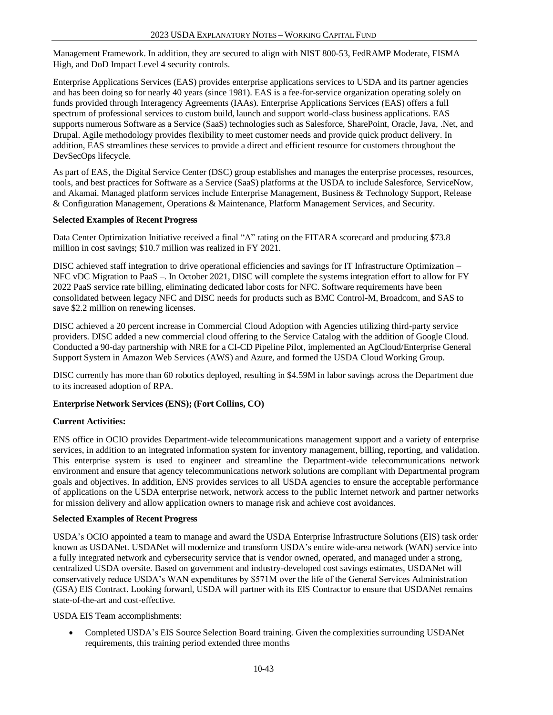Management Framework. In addition, they are secured to align with NIST 800-53, FedRAMP Moderate, FISMA High, and DoD Impact Level 4 security controls.

Enterprise Applications Services (EAS) provides enterprise applications services to USDA and its partner agencies and has been doing so for nearly 40 years (since 1981). EAS is a fee-for-service organization operating solely on funds provided through Interagency Agreements (IAAs). Enterprise Applications Services (EAS) offers a full spectrum of professional services to custom build, launch and support world-class business applications. EAS supports numerous Software as a Service (SaaS) technologies such as Salesforce, SharePoint, Oracle, Java, .Net, and Drupal. Agile methodology provides flexibility to meet customer needs and provide quick product delivery. In addition, EAS streamlines these services to provide a direct and efficient resource for customers throughout the DevSecOps lifecycle.

As part of EAS, the Digital Service Center (DSC) group establishes and manages the enterprise processes, resources, tools, and best practices for Software as a Service (SaaS) platforms at the USDA to include Salesforce, ServiceNow, and Akamai. Managed platform services include Enterprise Management, Business & Technology Support, Release & Configuration Management, Operations & Maintenance, Platform Management Services, and Security.

#### **Selected Examples of Recent Progress**

Data Center Optimization Initiative received a final "A" rating on the FITARA scorecard and producing \$73.8 million in cost savings; \$10.7 million was realized in FY 2021.

DISC achieved staff integration to drive operational efficiencies and savings for IT Infrastructure Optimization – NFC vDC Migration to PaaS –. In October 2021, DISC will complete the systems integration effort to allow for FY 2022 PaaS service rate billing, eliminating dedicated labor costs for NFC. Software requirements have been consolidated between legacy NFC and DISC needs for products such as BMC Control-M, Broadcom, and SAS to save \$2.2 million on renewing licenses.

DISC achieved a 20 percent increase in Commercial Cloud Adoption with Agencies utilizing third-party service providers. DISC added a new commercial cloud offering to the Service Catalog with the addition of Google Cloud. Conducted a 90-day partnership with NRE for a CI-CD Pipeline Pilot, implemented an AgCloud/Enterprise General Support System in Amazon Web Services (AWS) and Azure, and formed the USDA Cloud Working Group.

DISC currently has more than 60 robotics deployed, resulting in \$4.59M in labor savings across the Department due to its increased adoption of RPA.

# **Enterprise Network Services (ENS); (Fort Collins, CO)**

# **Current Activities:**

ENS office in OCIO provides Department-wide telecommunications management support and a variety of enterprise services, in addition to an integrated information system for inventory management, billing, reporting, and validation. This enterprise system is used to engineer and streamline the Department-wide telecommunications network environment and ensure that agency telecommunications network solutions are compliant with Departmental program goals and objectives. In addition, ENS provides services to all USDA agencies to ensure the acceptable performance of applications on the USDA enterprise network, network access to the public Internet network and partner networks for mission delivery and allow application owners to manage risk and achieve cost avoidances.

#### **Selected Examples of Recent Progress**

USDA's OCIO appointed a team to manage and award the USDA Enterprise Infrastructure Solutions (EIS) task order known as USDANet. USDANet will modernize and transform USDA's entire wide-area network (WAN) service into a fully integrated network and cybersecurity service that is vendor owned, operated, and managed under a strong, centralized USDA oversite. Based on government and industry-developed cost savings estimates, USDANet will conservatively reduce USDA's WAN expenditures by \$571M over the life of the General Services Administration (GSA) EIS Contract. Looking forward, USDA will partner with its EIS Contractor to ensure that USDANet remains state-of-the-art and cost-effective.

#### USDA EIS Team accomplishments:

• Completed USDA's EIS Source Selection Board training. Given the complexities surrounding USDANet requirements, this training period extended three months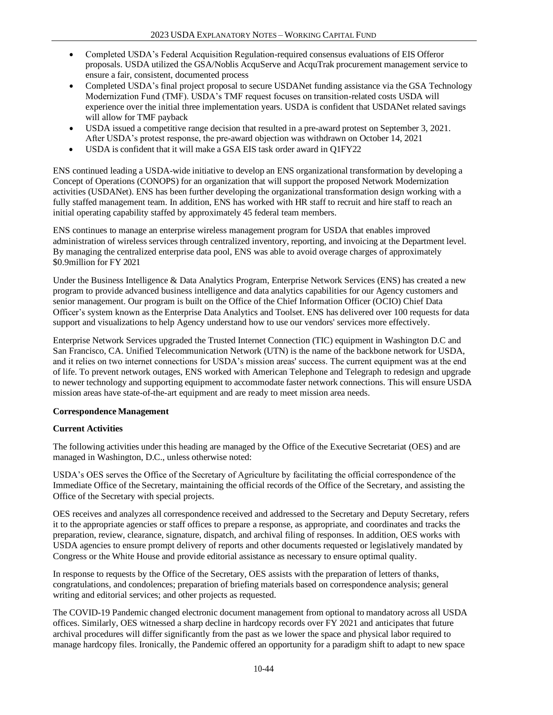- Completed USDA's Federal Acquisition Regulation-required consensus evaluations of EIS Offeror proposals. USDA utilized the GSA/Noblis AcquServe and AcquTrak procurement management service to ensure a fair, consistent, documented process
- Completed USDA's final project proposal to secure USDANet funding assistance via the GSA Technology Modernization Fund (TMF). USDA's TMF request focuses on transition-related costs USDA will experience over the initial three implementation years. USDA is confident that USDANet related savings will allow for TMF payback
- USDA issued a competitive range decision that resulted in a pre-award protest on September 3, 2021. After USDA's protest response, the pre-award objection was withdrawn on October 14, 2021
- USDA is confident that it will make a GSA EIS task order award in Q1FY22

ENS continued leading a USDA-wide initiative to develop an ENS organizational transformation by developing a Concept of Operations (CONOPS) for an organization that will support the proposed Network Modernization activities (USDANet). ENS has been further developing the organizational transformation design working with a fully staffed management team. In addition, ENS has worked with HR staff to recruit and hire staff to reach an initial operating capability staffed by approximately 45 federal team members.

ENS continues to manage an enterprise wireless management program for USDA that enables improved administration of wireless services through centralized inventory, reporting, and invoicing at the Department level. By managing the centralized enterprise data pool, ENS was able to avoid overage charges of approximately \$0.9million for FY 2021

Under the Business Intelligence & Data Analytics Program, Enterprise Network Services (ENS) has created a new program to provide advanced business intelligence and data analytics capabilities for our Agency customers and senior management. Our program is built on the Office of the Chief Information Officer (OCIO) Chief Data Officer's system known as the Enterprise Data Analytics and Toolset. ENS has delivered over 100 requests for data support and visualizations to help Agency understand how to use our vendors' services more effectively.

Enterprise Network Services upgraded the Trusted Internet Connection (TIC) equipment in Washington D.C and San Francisco, CA. Unified Telecommunication Network (UTN) is the name of the backbone network for USDA, and it relies on two internet connections for USDA's mission areas' success. The current equipment was at the end of life. To prevent network outages, ENS worked with American Telephone and Telegraph to redesign and upgrade to newer technology and supporting equipment to accommodate faster network connections. This will ensure USDA mission areas have state-of-the-art equipment and are ready to meet mission area needs.

# **Correspondence Management**

# **Current Activities**

The following activities under this heading are managed by the Office of the Executive Secretariat (OES) and are managed in Washington, D.C., unless otherwise noted:

USDA's OES serves the Office of the Secretary of Agriculture by facilitating the official correspondence of the Immediate Office of the Secretary, maintaining the official records of the Office of the Secretary, and assisting the Office of the Secretary with special projects.

OES receives and analyzes all correspondence received and addressed to the Secretary and Deputy Secretary, refers it to the appropriate agencies or staff offices to prepare a response, as appropriate, and coordinates and tracks the preparation, review, clearance, signature, dispatch, and archival filing of responses. In addition, OES works with USDA agencies to ensure prompt delivery of reports and other documents requested or legislatively mandated by Congress or the White House and provide editorial assistance as necessary to ensure optimal quality.

In response to requests by the Office of the Secretary, OES assists with the preparation of letters of thanks, congratulations, and condolences; preparation of briefing materials based on correspondence analysis; general writing and editorial services; and other projects as requested.

The COVID-19 Pandemic changed electronic document management from optional to mandatory across all USDA offices. Similarly, OES witnessed a sharp decline in hardcopy records over FY 2021 and anticipates that future archival procedures will differ significantly from the past as we lower the space and physical labor required to manage hardcopy files. Ironically, the Pandemic offered an opportunity for a paradigm shift to adapt to new space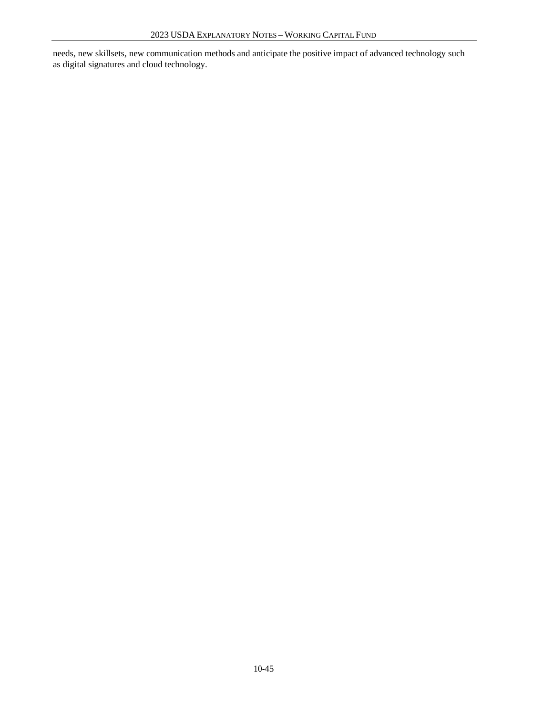needs, new skillsets, new communication methods and anticipate the positive impact of advanced technology such as digital signatures and cloud technology.